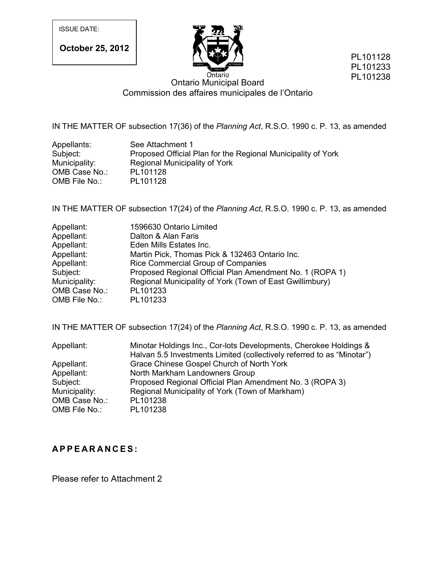ISSUE DATE:

**October 25, 2012** 



 PL101128 PL101233 PL101238

## Ontario Municipal Board Commission des affaires municipales de l'Ontario

IN THE MATTER OF subsection 17(36) of the *Planning Act*, R.S.O. 1990 c. P. 13, as amended

| Appellants:   | See Attachment 1                                             |  |
|---------------|--------------------------------------------------------------|--|
| Subject:      | Proposed Official Plan for the Regional Municipality of York |  |
| Municipality: | Regional Municipality of York                                |  |
| OMB Case No.: | PL101128                                                     |  |
| OMB File No.: | PL101128                                                     |  |

IN THE MATTER OF subsection 17(24) of the *Planning Act*, R.S.O. 1990 c. P. 13, as amended

| Appellant:    | 1596630 Ontario Limited                                  |
|---------------|----------------------------------------------------------|
| Appellant:    | Dalton & Alan Faris                                      |
| Appellant:    | Eden Mills Estates Inc.                                  |
| Appellant:    | Martin Pick, Thomas Pick & 132463 Ontario Inc.           |
| Appellant:    | Rice Commercial Group of Companies                       |
| Subject:      | Proposed Regional Official Plan Amendment No. 1 (ROPA 1) |
| Municipality: | Regional Municipality of York (Town of East Gwillimbury) |
| OMB Case No.: | PL101233                                                 |
| OMB File No.: | PL101233                                                 |

| IN THE MATTER OF subsection 17(24) of the Planning Act, R.S.O. 1990 c. P. 13, as amended |                                                                                                                                                                                                                                                                                                                                           |  |  |
|------------------------------------------------------------------------------------------|-------------------------------------------------------------------------------------------------------------------------------------------------------------------------------------------------------------------------------------------------------------------------------------------------------------------------------------------|--|--|
| Appellant:<br>Appellant:<br>Appellant:<br>Subject:<br>Municipality:                      | Minotar Holdings Inc., Cor-lots Developments, Cherokee Holdings &<br>Halvan 5.5 Investments Limited (collectively referred to as "Minotar")<br>Grace Chinese Gospel Church of North York<br>North Markham Landowners Group<br>Proposed Regional Official Plan Amendment No. 3 (ROPA 3)<br>Regional Municipality of York (Town of Markham) |  |  |
| OMB Case No.:<br>OMB File No.:                                                           | PL101238<br>PL101238                                                                                                                                                                                                                                                                                                                      |  |  |
| APPEARANCES:                                                                             |                                                                                                                                                                                                                                                                                                                                           |  |  |
| Please refer to Attachment 2                                                             |                                                                                                                                                                                                                                                                                                                                           |  |  |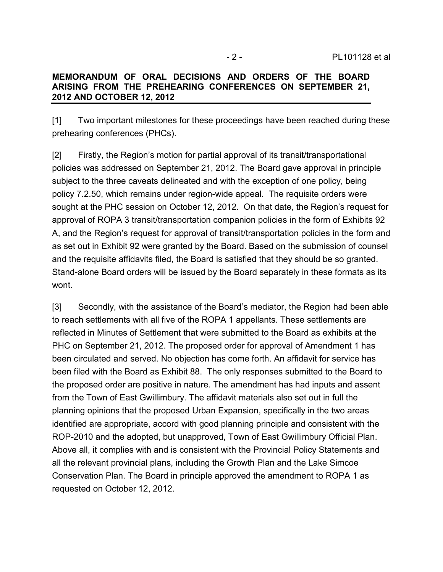## **MEMORANDUM OF ORAL DECISIONS AND ORDERS OF THE BOARD ARISING FROM THE PREHEARING CONFERENCES ON SEPTEMBER 21, 2012 AND OCTOBER 12, 2012**

[1] Two important milestones for these proceedings have been reached during these prehearing conferences (PHCs).

[2] Firstly, the Region's motion for partial approval of its transit/transportational policies was addressed on September 21, 2012. The Board gave approval in principle subject to the three caveats delineated and with the exception of one policy, being policy 7.2.50, which remains under region-wide appeal. The requisite orders were sought at the PHC session on October 12, 2012. On that date, the Region's request for approval of ROPA 3 transit/transportation companion policies in the form of Exhibits 92 A, and the Region's request for approval of transit/transportation policies in the form and as set out in Exhibit 92 were granted by the Board. Based on the submission of counsel and the requisite affidavits filed, the Board is satisfied that they should be so granted. Stand-alone Board orders will be issued by the Board separately in these formats as its wont.

[3] Secondly, with the assistance of the Board's mediator, the Region had been able to reach settlements with all five of the ROPA 1 appellants. These settlements are reflected in Minutes of Settlement that were submitted to the Board as exhibits at the PHC on September 21, 2012. The proposed order for approval of Amendment 1 has been circulated and served. No objection has come forth. An affidavit for service has been filed with the Board as Exhibit 88. The only responses submitted to the Board to the proposed order are positive in nature. The amendment has had inputs and assent from the Town of East Gwillimbury. The affidavit materials also set out in full the planning opinions that the proposed Urban Expansion, specifically in the two areas identified are appropriate, accord with good planning principle and consistent with the ROP-2010 and the adopted, but unapproved, Town of East Gwillimbury Official Plan. Above all, it complies with and is consistent with the Provincial Policy Statements and all the relevant provincial plans, including the Growth Plan and the Lake Simcoe Conservation Plan. The Board in principle approved the amendment to ROPA 1 as requested on October 12, 2012.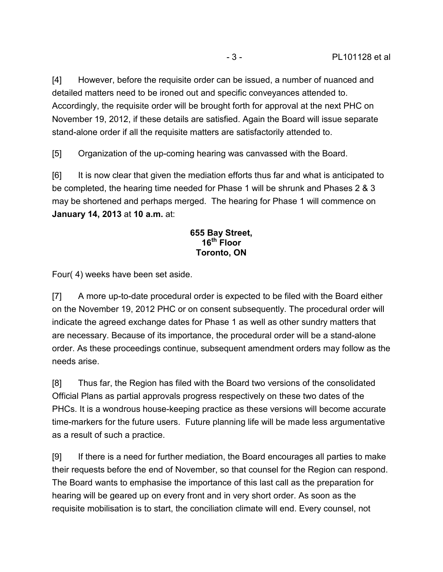[4] However, before the requisite order can be issued, a number of nuanced and detailed matters need to be ironed out and specific conveyances attended to. Accordingly, the requisite order will be brought forth for approval at the next PHC on November 19, 2012, if these details are satisfied. Again the Board will issue separate stand-alone order if all the requisite matters are satisfactorily attended to.

[5] Organization of the up-coming hearing was canvassed with the Board.

[6] It is now clear that given the mediation efforts thus far and what is anticipated to be completed, the hearing time needed for Phase 1 will be shrunk and Phases 2 & 3 may be shortened and perhaps merged. The hearing for Phase 1 will commence on **January 14, 2013** at **10 a.m.** at:

## **655 Bay Street, 16th Floor Toronto, ON**

Four( 4) weeks have been set aside.

[7] A more up-to-date procedural order is expected to be filed with the Board either on the November 19, 2012 PHC or on consent subsequently. The procedural order will indicate the agreed exchange dates for Phase 1 as well as other sundry matters that are necessary. Because of its importance, the procedural order will be a stand-alone order. As these proceedings continue, subsequent amendment orders may follow as the needs arise.

[8] Thus far, the Region has filed with the Board two versions of the consolidated Official Plans as partial approvals progress respectively on these two dates of the PHCs. It is a wondrous house-keeping practice as these versions will become accurate time-markers for the future users. Future planning life will be made less argumentative as a result of such a practice.

[9] If there is a need for further mediation, the Board encourages all parties to make their requests before the end of November, so that counsel for the Region can respond. The Board wants to emphasise the importance of this last call as the preparation for hearing will be geared up on every front and in very short order. As soon as the requisite mobilisation is to start, the conciliation climate will end. Every counsel, not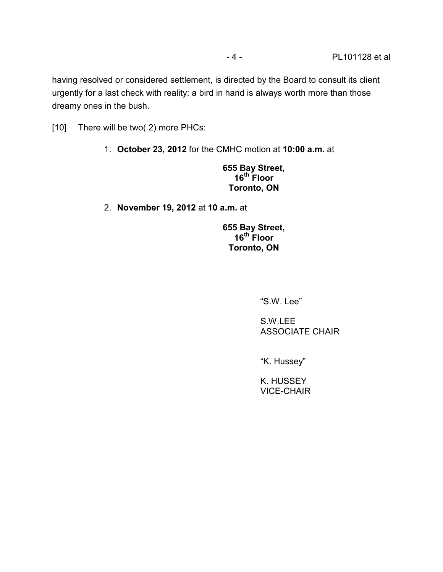having resolved or considered settlement, is directed by the Board to consult its client urgently for a last check with reality: a bird in hand is always worth more than those dreamy ones in the bush.

[10] There will be two( 2) more PHCs:

1. **October 23, 2012** for the CMHC motion at **10:00 a.m.** at

## **655 Bay Street, 16th Floor Toronto, ON**

2. **November 19, 2012** at **10 a.m.** at

**655 Bay Street, 16th Floor Toronto, ON** 

"S.W. Lee"

S.W.LEE ASSOCIATE CHAIR

"K. Hussey"

K. HUSSEY VICE-CHAIR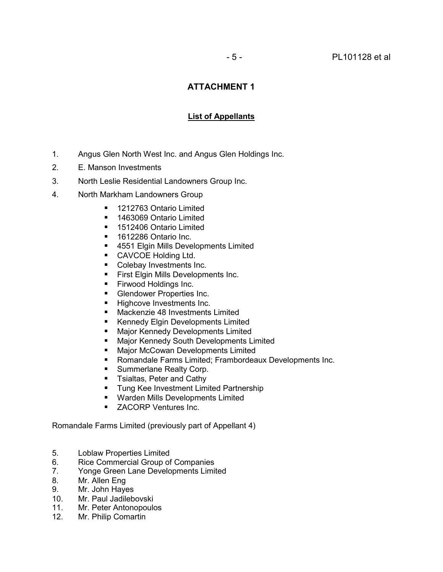## **ATTACHMENT 1**

### **List of Appellants**

- 1. Angus Glen North West Inc. and Angus Glen Holdings Inc.
- 2. E. Manson Investments
- 3. North Leslie Residential Landowners Group Inc.
- 4. North Markham Landowners Group
	- 1212763 Ontario Limited
	- 1463069 Ontario Limited
	- 1512406 Ontario Limited<br>■ 1612286 Ontario Inc
	- 1612286 Ontario Inc.
	- **4551 Elgin Mills Developments Limited**
	- **CAVCOE Holding Ltd.**
	- Colebay Investments Inc.
	- **First Elgin Mills Developments Inc.**
	- **Firwood Holdings Inc.**
	- **Glendower Properties Inc.**
	- Highcove Investments Inc.
	- **Mackenzie 48 Investments Limited**
	- **Kennedy Elgin Developments Limited**
	- **Major Kennedy Developments Limited**
	- **Major Kennedy South Developments Limited**
	- **Major McCowan Developments Limited**
	- **Romandale Farms Limited; Frambordeaux Developments Inc.**
	- **Summerlane Realty Corp.**
	- **Times**, Peter and Cathy
	- **Tung Kee Investment Limited Partnership**
	- **Warden Mills Developments Limited**
	- **EXACORP Ventures Inc.**

Romandale Farms Limited (previously part of Appellant 4)

- 5. Loblaw Properties Limited
- 6. Rice Commercial Group of Companies
- 7. Yonge Green Lane Developments Limited
- 8. Mr. Allen Eng
- 9. Mr. John Hayes
- 10. Mr. Paul Jadilebovski
- 11. Mr. Peter Antonopoulos
- 12. Mr. Philip Comartin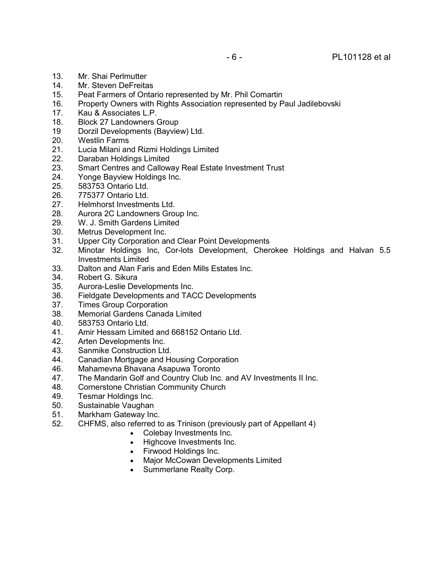- 13. Mr. Shai Perlmutter
- 14. Mr. Steven DeFreitas
- 15. Peat Farmers of Ontario represented by Mr. Phil Comartin
- 16. Property Owners with Rights Association represented by Paul Jadilebovski
- 17. Kau & Associates L.P.
- 18. Block 27 Landowners Group
- 19 Dorzil Developments (Bayview) Ltd.
- 20. Westlin Farms<br>21. Lucia Milani an
- Lucia Milani and Rizmi Holdings Limited
- 22. Daraban Holdings Limited<br>23. Smart Centres and Callow
- 23. Smart Centres and Calloway Real Estate Investment Trust
- 24. Yonge Bayview Holdings Inc.
- 25. 583753 Ontario Ltd.
- 26. 775377 Ontario Ltd.
- 27. Helmhorst Investments Ltd.
- 28. Aurora 2C Landowners Group Inc.
- 29. W. J. Smith Gardens Limited
- 30. Metrus Development Inc.
- 31. Upper City Corporation and Clear Point Developments
- 32. Minotar Holdings Inc, Cor-lots Development, Cherokee Holdings and Halvan 5.5 Investments Limited
- 33. Dalton and Alan Faris and Eden Mills Estates Inc.
- 34. Robert G. Sikura
- 35. Aurora-Leslie Developments Inc.
- 36. Fieldgate Developments and TACC Developments
- 37. Times Group Corporation
- 38. Memorial Gardens Canada Limited
- 40. 583753 Ontario Ltd.
- 41. Amir Hessam Limited and 668152 Ontario Ltd.
- 42. Arten Developments Inc.
- 43. Sanmike Construction Ltd.
- 44. Canadian Mortgage and Housing Corporation
- 46. Mahamevna Bhavana Asapuwa Toronto
- 47. The Mandarin Golf and Country Club Inc. and AV Investments II Inc.
- 48. Cornerstone Christian Community Church
- 49. Tesmar Holdings Inc.
- 50. Sustainable Vaughan
- 51. Markham Gateway Inc.
- 52. CHFMS, also referred to as Trinison (previously part of Appellant 4)
	- Colebay Investments Inc.
	- Highcove Investments Inc.
	- Firwood Holdings Inc.
	- Major McCowan Developments Limited
	- Summerlane Realty Corp.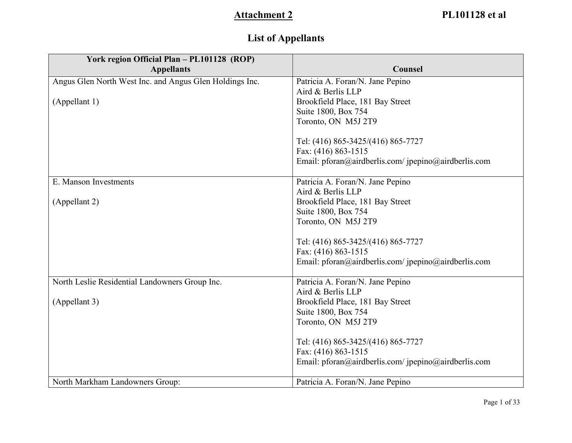# **List of Appellants**

| York region Official Plan - PL101128 (ROP)              |                                                      |
|---------------------------------------------------------|------------------------------------------------------|
| <b>Appellants</b>                                       | Counsel                                              |
| Angus Glen North West Inc. and Angus Glen Holdings Inc. | Patricia A. Foran/N. Jane Pepino                     |
|                                                         | Aird & Berlis LLP                                    |
| (Appellant 1)                                           | Brookfield Place, 181 Bay Street                     |
|                                                         | Suite 1800, Box 754                                  |
|                                                         | Toronto, ON M5J 2T9                                  |
|                                                         | Tel: (416) 865-3425/(416) 865-7727                   |
|                                                         | Fax: (416) 863-1515                                  |
|                                                         | Email: pforan@airdberlis.com/ jpepino@airdberlis.com |
|                                                         |                                                      |
| E. Manson Investments                                   | Patricia A. Foran/N. Jane Pepino                     |
|                                                         | Aird & Berlis LLP                                    |
| (Appellant 2)                                           | Brookfield Place, 181 Bay Street                     |
|                                                         | Suite 1800, Box 754                                  |
|                                                         | Toronto, ON M5J 2T9                                  |
|                                                         |                                                      |
|                                                         | Tel: (416) 865-3425/(416) 865-7727                   |
|                                                         | Fax: (416) 863-1515                                  |
|                                                         | Email: pforan@airdberlis.com/ jpepino@airdberlis.com |
| North Leslie Residential Landowners Group Inc.          | Patricia A. Foran/N. Jane Pepino                     |
|                                                         | Aird & Berlis LLP                                    |
| (Appellant 3)                                           | Brookfield Place, 181 Bay Street                     |
|                                                         | Suite 1800, Box 754                                  |
|                                                         | Toronto, ON M5J 2T9                                  |
|                                                         |                                                      |
|                                                         | Tel: (416) 865-3425/(416) 865-7727                   |
|                                                         | Fax: (416) 863-1515                                  |
|                                                         | Email: pforan@airdberlis.com/ jpepino@airdberlis.com |
|                                                         |                                                      |
| North Markham Landowners Group:                         | Patricia A. Foran/N. Jane Pepino                     |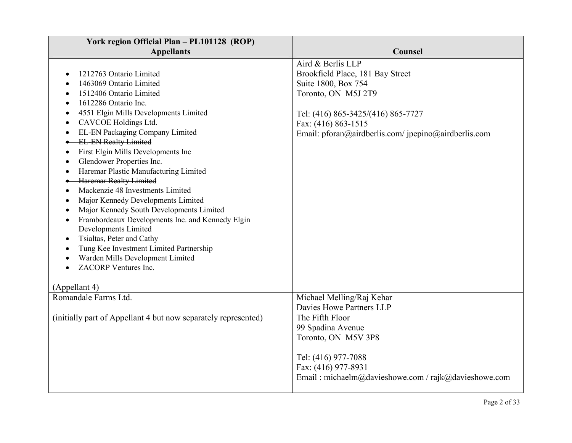| York region Official Plan - PL101128 (ROP)                                                                                                                                                                                                                                                                                                                                                                                                                                                                                                                                                                                                                                                                                                                                                                                                    |                                                                                                                                                                                                                          |
|-----------------------------------------------------------------------------------------------------------------------------------------------------------------------------------------------------------------------------------------------------------------------------------------------------------------------------------------------------------------------------------------------------------------------------------------------------------------------------------------------------------------------------------------------------------------------------------------------------------------------------------------------------------------------------------------------------------------------------------------------------------------------------------------------------------------------------------------------|--------------------------------------------------------------------------------------------------------------------------------------------------------------------------------------------------------------------------|
| <b>Appellants</b>                                                                                                                                                                                                                                                                                                                                                                                                                                                                                                                                                                                                                                                                                                                                                                                                                             | Counsel                                                                                                                                                                                                                  |
| 1212763 Ontario Limited<br>1463069 Ontario Limited<br>1512406 Ontario Limited<br>1612286 Ontario Inc.<br>4551 Elgin Mills Developments Limited<br>CAVCOE Holdings Ltd.<br><b>EL-EN Packaging Company Limited</b><br><b>EL-EN Realty Limited</b><br>First Elgin Mills Developments Inc<br>$\bullet$<br>Glendower Properties Inc.<br>$\bullet$<br><b>Haremar Plastic Manufacturing Limited</b><br><b>Haremar Realty Limited</b><br>Mackenzie 48 Investments Limited<br>$\bullet$<br>Major Kennedy Developments Limited<br>$\bullet$<br>Major Kennedy South Developments Limited<br>Frambordeaux Developments Inc. and Kennedy Elgin<br>Developments Limited<br>Tsialtas, Peter and Cathy<br>٠<br>Tung Kee Investment Limited Partnership<br>Warden Mills Development Limited<br>$\bullet$<br>ZACORP Ventures Inc.<br>$\bullet$<br>(Appellant 4) | Aird & Berlis LLP<br>Brookfield Place, 181 Bay Street<br>Suite 1800, Box 754<br>Toronto, ON M5J 2T9<br>Tel: (416) 865-3425/(416) 865-7727<br>Fax: (416) 863-1515<br>Email: pforan@airdberlis.com/ jpepino@airdberlis.com |
| Romandale Farms Ltd.<br>(initially part of Appellant 4 but now separately represented)                                                                                                                                                                                                                                                                                                                                                                                                                                                                                                                                                                                                                                                                                                                                                        | Michael Melling/Raj Kehar<br>Davies Howe Partners LLP<br>The Fifth Floor                                                                                                                                                 |
|                                                                                                                                                                                                                                                                                                                                                                                                                                                                                                                                                                                                                                                                                                                                                                                                                                               | 99 Spadina Avenue<br>Toronto, ON M5V 3P8<br>Tel: (416) 977-7088<br>Fax: (416) 977-8931<br>Email: michaelm@davieshowe.com / rajk@davieshowe.com                                                                           |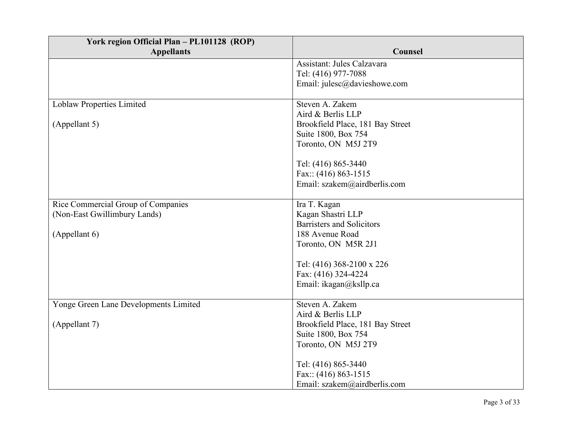| York region Official Plan - PL101128 (ROP) |                                  |
|--------------------------------------------|----------------------------------|
| <b>Appellants</b>                          | Counsel                          |
|                                            | Assistant: Jules Calzavara       |
|                                            | Tel: (416) 977-7088              |
|                                            | Email: julesc@davieshowe.com     |
|                                            |                                  |
| <b>Loblaw Properties Limited</b>           | Steven A. Zakem                  |
|                                            | Aird & Berlis LLP                |
| (Appellant 5)                              | Brookfield Place, 181 Bay Street |
|                                            | Suite 1800, Box 754              |
|                                            | Toronto, ON M5J 2T9              |
|                                            | Tel: (416) 865-3440              |
|                                            | Fax:: (416) 863-1515             |
|                                            | Email: szakem@airdberlis.com     |
|                                            |                                  |
| Rice Commercial Group of Companies         | Ira T. Kagan                     |
| (Non-East Gwillimbury Lands)               | Kagan Shastri LLP                |
|                                            | <b>Barristers and Solicitors</b> |
| (Appellant 6)                              | 188 Avenue Road                  |
|                                            | Toronto, ON M5R 2J1              |
|                                            | Tel: (416) 368-2100 x 226        |
|                                            | Fax: (416) 324-4224              |
|                                            | Email: ikagan@ksllp.ca           |
|                                            |                                  |
| Yonge Green Lane Developments Limited      | Steven A. Zakem                  |
|                                            | Aird & Berlis LLP                |
| (Appellant 7)                              | Brookfield Place, 181 Bay Street |
|                                            | Suite 1800, Box 754              |
|                                            | Toronto, ON M5J 2T9              |
|                                            |                                  |
|                                            | Tel: (416) 865-3440              |
|                                            | Fax: (416) 863-1515              |
|                                            | Email: szakem@airdberlis.com     |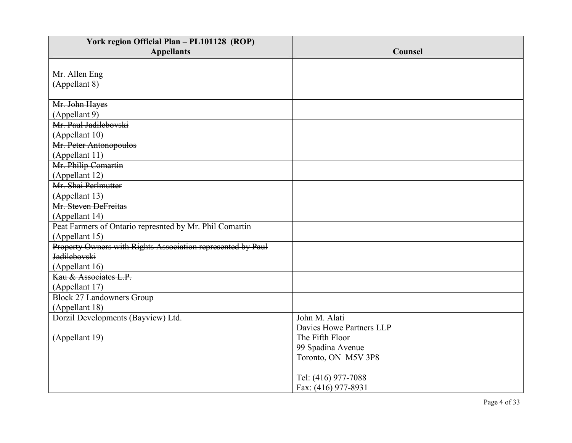| York region Official Plan - PL101128 (ROP)                  |                          |
|-------------------------------------------------------------|--------------------------|
| <b>Appellants</b>                                           | Counsel                  |
|                                                             |                          |
| Mr. Allen Eng                                               |                          |
| (Appellant 8)                                               |                          |
| Mr. John Hayes                                              |                          |
| (Appellant 9)                                               |                          |
| Mr Paul Jadilebovski                                        |                          |
| (Appellant 10)                                              |                          |
| Mr. Peter Antonopoulos                                      |                          |
| (Appellant 11)                                              |                          |
| Mr. Philip Comartin                                         |                          |
| (Appellant 12)                                              |                          |
| Mr. Shai Perlmutter                                         |                          |
| (Appellant 13)                                              |                          |
| Mr. Steven DeFreitas                                        |                          |
| (Appellant 14)                                              |                          |
| Peat Farmers of Ontario represnted by Mr. Phil Comartin     |                          |
| (Appellant 15)                                              |                          |
| Property Owners with Rights Association represented by Paul |                          |
| <b>Jadilebovski</b>                                         |                          |
| (Appellant 16)                                              |                          |
| Kau & Associates L.P.                                       |                          |
| (Appellant 17)                                              |                          |
| Block 27 Landowners Group                                   |                          |
| (Appellant 18)                                              |                          |
| Dorzil Developments (Bayview) Ltd.                          | John M. Alati            |
|                                                             | Davies Howe Partners LLP |
| (Appellant 19)                                              | The Fifth Floor          |
|                                                             | 99 Spadina Avenue        |
|                                                             | Toronto, ON M5V 3P8      |
|                                                             | Tel: (416) 977-7088      |
|                                                             | Fax: (416) 977-8931      |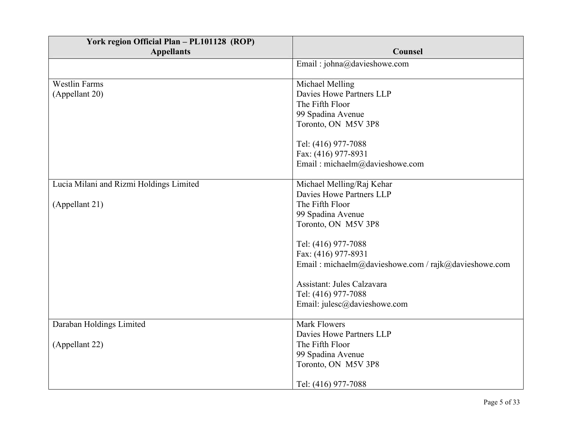| York region Official Plan - PL101128 (ROP) |                                                      |
|--------------------------------------------|------------------------------------------------------|
| <b>Appellants</b>                          | Counsel                                              |
|                                            | Email: johna@davieshowe.com                          |
|                                            |                                                      |
| <b>Westlin Farms</b>                       | Michael Melling                                      |
| (Appellant 20)                             | Davies Howe Partners LLP                             |
|                                            | The Fifth Floor                                      |
|                                            | 99 Spadina Avenue                                    |
|                                            | Toronto, ON M5V 3P8                                  |
|                                            | Tel: (416) 977-7088                                  |
|                                            | Fax: (416) 977-8931                                  |
|                                            | Email: michaelm@davieshowe.com                       |
|                                            |                                                      |
| Lucia Milani and Rizmi Holdings Limited    | Michael Melling/Raj Kehar                            |
|                                            | Davies Howe Partners LLP                             |
| (Appellant 21)                             | The Fifth Floor                                      |
|                                            | 99 Spadina Avenue                                    |
|                                            | Toronto, ON M5V 3P8                                  |
|                                            |                                                      |
|                                            | Tel: (416) 977-7088                                  |
|                                            | Fax: (416) 977-8931                                  |
|                                            | Email: michaelm@davieshowe.com / rajk@davieshowe.com |
|                                            |                                                      |
|                                            | Assistant: Jules Calzavara                           |
|                                            | Tel: (416) 977-7088                                  |
|                                            | Email: julesc@davieshowe.com                         |
|                                            |                                                      |
| Daraban Holdings Limited                   | <b>Mark Flowers</b>                                  |
|                                            | Davies Howe Partners LLP                             |
| (Appellant 22)                             | The Fifth Floor                                      |
|                                            | 99 Spadina Avenue                                    |
|                                            | Toronto, ON M5V 3P8                                  |
|                                            |                                                      |
|                                            | Tel: (416) 977-7088                                  |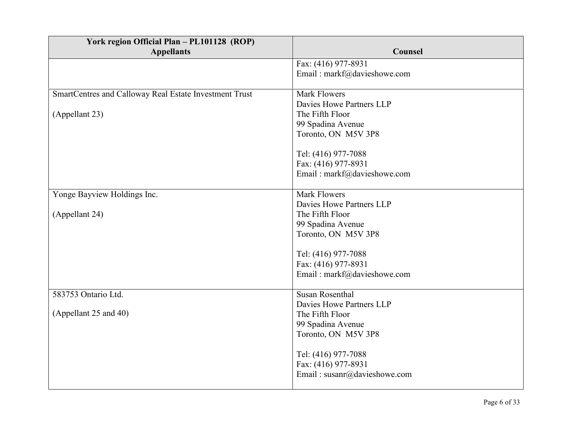| York region Official Plan - PL101128 (ROP)             |                              |
|--------------------------------------------------------|------------------------------|
| <b>Appellants</b>                                      | Counsel                      |
|                                                        | Fax: (416) 977-8931          |
|                                                        | Email: markf@davieshowe.com  |
|                                                        | <b>Mark Flowers</b>          |
| SmartCentres and Calloway Real Estate Investment Trust | Davies Howe Partners LLP     |
|                                                        | The Fifth Floor              |
| (Appellant 23)                                         | 99 Spadina Avenue            |
|                                                        | Toronto, ON M5V 3P8          |
|                                                        |                              |
|                                                        | Tel: (416) 977-7088          |
|                                                        | Fax: (416) 977-8931          |
|                                                        | Email: markf@davieshowe.com  |
|                                                        |                              |
| Yonge Bayview Holdings Inc.                            | <b>Mark Flowers</b>          |
|                                                        | Davies Howe Partners LLP     |
| (Appellant 24)                                         | The Fifth Floor              |
|                                                        | 99 Spadina Avenue            |
|                                                        | Toronto, ON M5V 3P8          |
|                                                        |                              |
|                                                        | Tel: (416) 977-7088          |
|                                                        | Fax: (416) 977-8931          |
|                                                        | Email: markf@davieshowe.com  |
| 583753 Ontario Ltd.                                    | Susan Rosenthal              |
|                                                        | Davies Howe Partners LLP     |
| (Appellant 25 and 40)                                  | The Fifth Floor              |
|                                                        | 99 Spadina Avenue            |
|                                                        | Toronto, ON M5V 3P8          |
|                                                        |                              |
|                                                        | Tel: (416) 977-7088          |
|                                                        | Fax: (416) 977-8931          |
|                                                        | Email: susanr@davieshowe.com |
|                                                        |                              |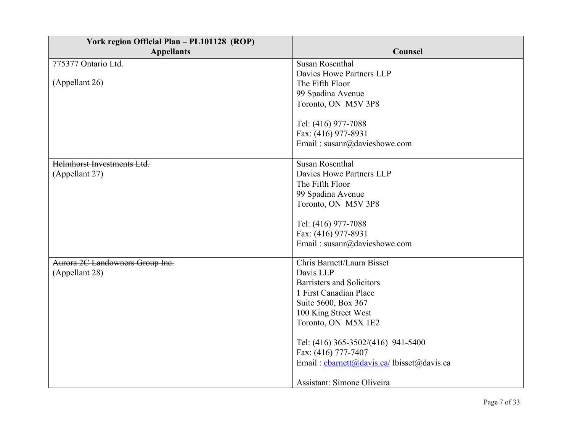| York region Official Plan - PL101128 (ROP) |                                            |
|--------------------------------------------|--------------------------------------------|
| <b>Appellants</b>                          | Counsel                                    |
| 775377 Ontario Ltd.                        | <b>Susan Rosenthal</b>                     |
|                                            | Davies Howe Partners LLP                   |
| (Appellant 26)                             | The Fifth Floor                            |
|                                            | 99 Spadina Avenue                          |
|                                            | Toronto, ON M5V 3P8                        |
|                                            | Tel: (416) 977-7088                        |
|                                            | Fax: (416) 977-8931                        |
|                                            | Email: susanr@davieshowe.com               |
| Helmhorst Investments Ltd.                 | <b>Susan Rosenthal</b>                     |
| (Appellant 27)                             | Davies Howe Partners LLP                   |
|                                            | The Fifth Floor                            |
|                                            | 99 Spadina Avenue                          |
|                                            | Toronto, ON M5V 3P8                        |
|                                            | Tel: (416) 977-7088                        |
|                                            | Fax: (416) 977-8931                        |
|                                            | Email: susanr@davieshowe.com               |
| Aurora 2C Landowners Group Inc.            | Chris Barnett/Laura Bisset                 |
| (Appellant 28)                             | Davis LLP                                  |
|                                            | Barristers and Solicitors                  |
|                                            | 1 First Canadian Place                     |
|                                            | Suite 5600, Box 367                        |
|                                            | 100 King Street West                       |
|                                            | Toronto, ON M5X 1E2                        |
|                                            | Tel: (416) 365-3502/(416) 941-5400         |
|                                            | Fax: (416) 777-7407                        |
|                                            | Email: charnett@davis.ca/ lbisset@davis.ca |
|                                            | Assistant: Simone Oliveira                 |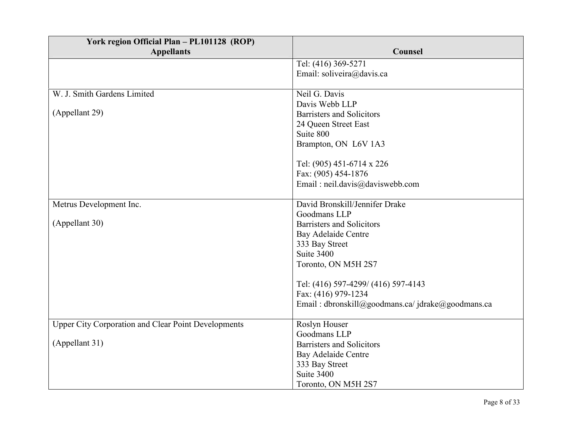| York region Official Plan - PL101128 (ROP)                 |                                                            |
|------------------------------------------------------------|------------------------------------------------------------|
| <b>Appellants</b>                                          | Counsel                                                    |
|                                                            | Tel: (416) 369-5271                                        |
|                                                            | Email: soliveira@davis.ca                                  |
|                                                            |                                                            |
| W. J. Smith Gardens Limited                                | Neil G. Davis                                              |
|                                                            | Davis Webb LLP                                             |
| (Appellant 29)                                             | <b>Barristers and Solicitors</b>                           |
|                                                            | 24 Queen Street East                                       |
|                                                            | Suite 800                                                  |
|                                                            | Brampton, ON L6V 1A3                                       |
|                                                            | Tel: (905) 451-6714 x 226                                  |
|                                                            |                                                            |
|                                                            | Fax: (905) 454-1876                                        |
|                                                            | Email: neil.davis@daviswebb.com                            |
| Metrus Development Inc.                                    | David Bronskill/Jennifer Drake                             |
|                                                            | Goodmans LLP                                               |
| (Appellant 30)                                             | Barristers and Solicitors                                  |
|                                                            | <b>Bay Adelaide Centre</b>                                 |
|                                                            | 333 Bay Street                                             |
|                                                            | Suite 3400                                                 |
|                                                            | Toronto, ON M5H 2S7                                        |
|                                                            |                                                            |
|                                                            | Tel: (416) 597-4299/ (416) 597-4143<br>Fax: (416) 979-1234 |
|                                                            | Email: dbronskill@goodmans.ca/jdrake@goodmans.ca           |
|                                                            |                                                            |
| <b>Upper City Corporation and Clear Point Developments</b> | Roslyn Houser                                              |
|                                                            | Goodmans LLP                                               |
| (Appellant 31)                                             | Barristers and Solicitors                                  |
|                                                            | <b>Bay Adelaide Centre</b>                                 |
|                                                            | 333 Bay Street                                             |
|                                                            | Suite 3400                                                 |
|                                                            | Toronto, ON M5H 2S7                                        |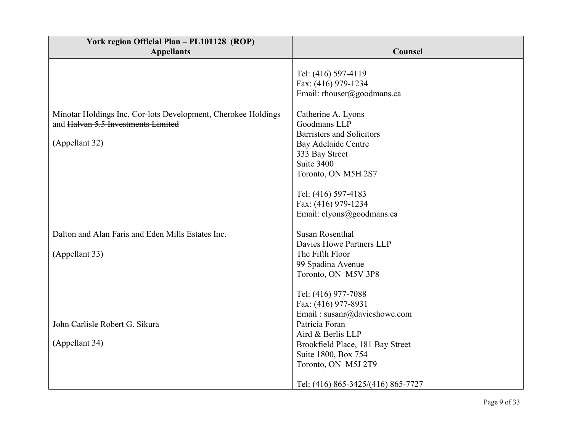| York region Official Plan - PL101128 (ROP)                    |                                                     |
|---------------------------------------------------------------|-----------------------------------------------------|
| <b>Appellants</b>                                             | Counsel                                             |
|                                                               | Tel: (416) 597-4119                                 |
|                                                               | Fax: (416) 979-1234                                 |
|                                                               | Email: rhouser@goodmans.ca                          |
|                                                               |                                                     |
| Minotar Holdings Inc, Cor-lots Development, Cherokee Holdings | Catherine A. Lyons                                  |
| and Halvan 5.5 Investments Limited                            | Goodmans LLP                                        |
|                                                               | <b>Barristers and Solicitors</b>                    |
| (Appellant 32)                                                | <b>Bay Adelaide Centre</b>                          |
|                                                               | 333 Bay Street                                      |
|                                                               | Suite 3400                                          |
|                                                               | Toronto, ON M5H 2S7                                 |
|                                                               | Tel: (416) 597-4183                                 |
|                                                               | Fax: (416) 979-1234                                 |
|                                                               | Email: clyons@goodmans.ca                           |
|                                                               |                                                     |
| Dalton and Alan Faris and Eden Mills Estates Inc.             | <b>Susan Rosenthal</b>                              |
|                                                               | Davies Howe Partners LLP                            |
| (Appellant 33)                                                | The Fifth Floor                                     |
|                                                               | 99 Spadina Avenue                                   |
|                                                               | Toronto, ON M5V 3P8                                 |
|                                                               |                                                     |
|                                                               | Tel: (416) 977-7088                                 |
|                                                               | Fax: (416) 977-8931<br>Email: susanr@davieshowe.com |
| John Carlisle Robert G. Sikura                                | Patricia Foran                                      |
|                                                               | Aird & Berlis LLP                                   |
| (Appellant 34)                                                | Brookfield Place, 181 Bay Street                    |
|                                                               | Suite 1800, Box 754                                 |
|                                                               | Toronto, ON M5J 2T9                                 |
|                                                               |                                                     |
|                                                               | Tel: (416) 865-3425/(416) 865-7727                  |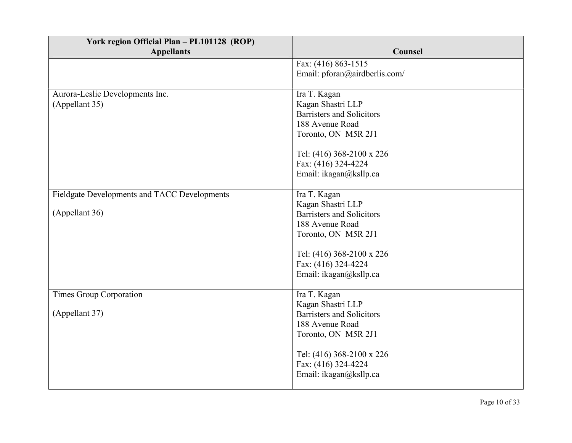| York region Official Plan - PL101128 (ROP)   | Counsel                                               |
|----------------------------------------------|-------------------------------------------------------|
| <b>Appellants</b>                            |                                                       |
|                                              | Fax: (416) 863-1515                                   |
|                                              | Email: pforan@airdberlis.com/                         |
| Aurora-Leslie Developments Inc.              | Ira T. Kagan                                          |
| (Appellant 35)                               | Kagan Shastri LLP                                     |
|                                              | <b>Barristers and Solicitors</b>                      |
|                                              | 188 Avenue Road                                       |
|                                              | Toronto, ON M5R 2J1                                   |
|                                              | Tel: (416) 368-2100 x 226                             |
|                                              | Fax: (416) 324-4224                                   |
|                                              | Email: ikagan@ksllp.ca                                |
|                                              |                                                       |
| Fieldgate Developments and TACC Developments | Ira T. Kagan                                          |
| (Appellant 36)                               | Kagan Shastri LLP<br><b>Barristers and Solicitors</b> |
|                                              | 188 Avenue Road                                       |
|                                              | Toronto, ON M5R 2J1                                   |
|                                              |                                                       |
|                                              | Tel: (416) 368-2100 x 226                             |
|                                              | Fax: (416) 324-4224                                   |
|                                              | Email: ikagan@ksllp.ca                                |
| <b>Times Group Corporation</b>               | Ira T. Kagan                                          |
|                                              | Kagan Shastri LLP                                     |
| (Appellant 37)                               | <b>Barristers and Solicitors</b>                      |
|                                              | 188 Avenue Road                                       |
|                                              | Toronto, ON M5R 2J1                                   |
|                                              |                                                       |
|                                              | Tel: (416) 368-2100 x 226                             |
|                                              | Fax: (416) 324-4224                                   |
|                                              | Email: ikagan@ksllp.ca                                |
|                                              |                                                       |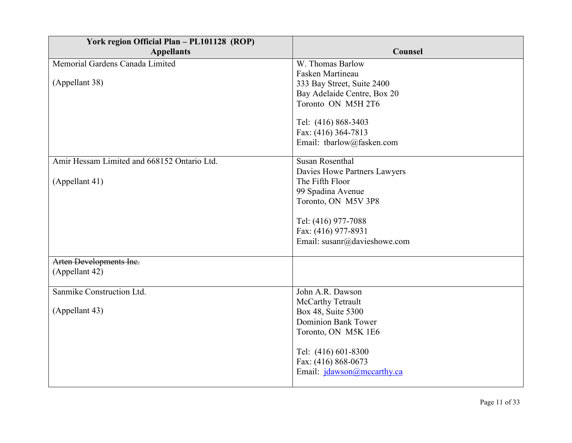| York region Official Plan - PL101128 (ROP)  |                                         |
|---------------------------------------------|-----------------------------------------|
| <b>Appellants</b>                           | <b>Counsel</b>                          |
| Memorial Gardens Canada Limited             | W. Thomas Barlow                        |
|                                             | <b>Fasken Martineau</b>                 |
| (Appellant 38)                              | 333 Bay Street, Suite 2400              |
|                                             | Bay Adelaide Centre, Box 20             |
|                                             | Toronto ON M5H 2T6                      |
|                                             | Tel: (416) 868-3403                     |
|                                             | Fax: (416) 364-7813                     |
|                                             | Email: tbarlow@fasken.com               |
|                                             |                                         |
| Amir Hessam Limited and 668152 Ontario Ltd. | <b>Susan Rosenthal</b>                  |
|                                             | Davies Howe Partners Lawyers            |
| (Appellant 41)                              | The Fifth Floor                         |
|                                             | 99 Spadina Avenue                       |
|                                             | Toronto, ON M5V 3P8                     |
|                                             | Tel: (416) 977-7088                     |
|                                             | Fax: (416) 977-8931                     |
|                                             | Email: susanr@davieshowe.com            |
|                                             |                                         |
| Arten Developments Inc.                     |                                         |
| (Appellant 42)                              |                                         |
|                                             |                                         |
| Sanmike Construction Ltd.                   | John A.R. Dawson                        |
| (Appellant 43)                              | McCarthy Tetrault<br>Box 48, Suite 5300 |
|                                             | <b>Dominion Bank Tower</b>              |
|                                             | Toronto, ON M5K 1E6                     |
|                                             |                                         |
|                                             | Tel: (416) 601-8300                     |
|                                             | Fax: (416) 868-0673                     |
|                                             | Email: jdawson@mccarthy.ca              |
|                                             |                                         |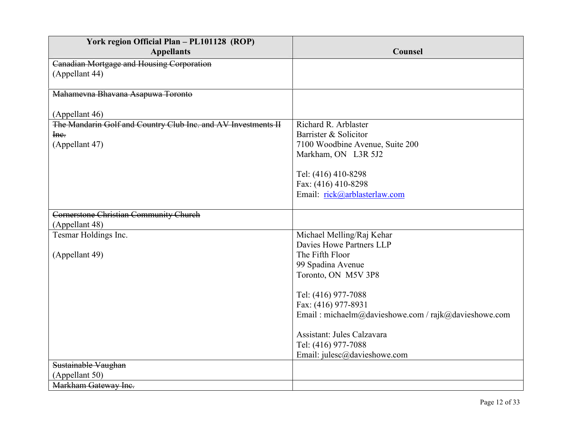| York region Official Plan - PL101128 (ROP)                    |                                                      |
|---------------------------------------------------------------|------------------------------------------------------|
| <b>Appellants</b>                                             | Counsel                                              |
| <b>Canadian Mortgage and Housing Corporation</b>              |                                                      |
| (Appellant 44)                                                |                                                      |
| Mahamevna Bhavana Asapuwa Toronto                             |                                                      |
|                                                               |                                                      |
| (Appellant 46)                                                |                                                      |
| The Mandarin Golf and Country Club Inc. and AV Investments II | Richard R. Arblaster                                 |
| Ine.                                                          | Barrister & Solicitor                                |
| (Appellant 47)                                                | 7100 Woodbine Avenue, Suite 200                      |
|                                                               | Markham, ON L3R 5J2                                  |
|                                                               |                                                      |
|                                                               | Tel: (416) 410-8298                                  |
|                                                               | Fax: (416) 410-8298                                  |
|                                                               | Email: rick@arblasterlaw.com                         |
|                                                               |                                                      |
| Cornerstone Christian Community Church                        |                                                      |
| (Appellant 48)                                                |                                                      |
| Tesmar Holdings Inc.                                          | Michael Melling/Raj Kehar                            |
|                                                               | Davies Howe Partners LLP                             |
| (Appellant 49)                                                | The Fifth Floor                                      |
|                                                               | 99 Spadina Avenue                                    |
|                                                               | Toronto, ON M5V 3P8                                  |
|                                                               | Tel: (416) 977-7088                                  |
|                                                               | Fax: (416) 977-8931                                  |
|                                                               | Email: michaelm@davieshowe.com / rajk@davieshowe.com |
|                                                               |                                                      |
|                                                               | Assistant: Jules Calzavara                           |
|                                                               | Tel: (416) 977-7088                                  |
|                                                               | Email: julesc@davieshowe.com                         |
| Sustainable Vaughan                                           |                                                      |
| (Appellant 50)                                                |                                                      |
| Markham Gateway Inc.                                          |                                                      |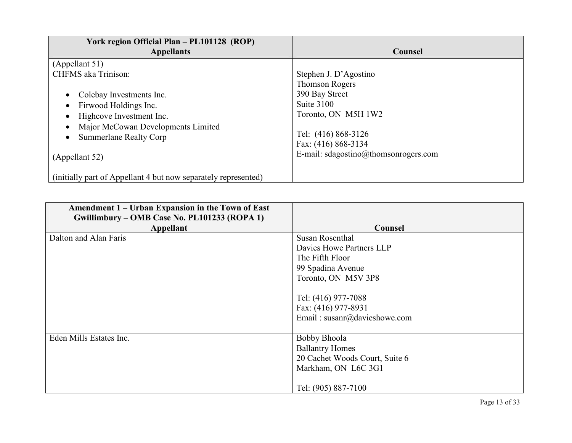| York region Official Plan - PL101128 (ROP)<br><b>Appellants</b>                                                     | Counsel                                                                            |
|---------------------------------------------------------------------------------------------------------------------|------------------------------------------------------------------------------------|
| (Appellant 51)                                                                                                      |                                                                                    |
| CHFMS aka Trinison:                                                                                                 | Stephen J. D'Agostino<br><b>Thomson Rogers</b>                                     |
| Colebay Investments Inc.<br>Firwood Holdings Inc.<br>Highcove Investment Inc.<br>Major McCowan Developments Limited | 390 Bay Street<br>Suite 3100<br>Toronto, ON M5H 1W2                                |
| <b>Summerlane Realty Corp</b><br>(Appellant 52)                                                                     | Tel: (416) 868-3126<br>Fax: (416) 868-3134<br>E-mail: sdagostino@thomsonrogers.com |
| (initially part of Appellant 4 but now separately represented)                                                      |                                                                                    |

| Amendment 1 – Urban Expansion in the Town of East<br>Gwillimbury – OMB Case No. PL101233 (ROPA 1)<br>Appellant | <b>Counsel</b>                              |
|----------------------------------------------------------------------------------------------------------------|---------------------------------------------|
| Dalton and Alan Faris                                                                                          | Susan Rosenthal                             |
|                                                                                                                | Davies Howe Partners LLP<br>The Fifth Floor |
|                                                                                                                | 99 Spadina Avenue                           |
|                                                                                                                | Toronto, ON M5V 3P8                         |
|                                                                                                                | Tel: (416) 977-7088                         |
|                                                                                                                | Fax: (416) 977-8931                         |
|                                                                                                                | Email: susanr@davieshowe.com                |
| Eden Mills Estates Inc.                                                                                        | Bobby Bhoola                                |
|                                                                                                                | <b>Ballantry Homes</b>                      |
|                                                                                                                | 20 Cachet Woods Court, Suite 6              |
|                                                                                                                | Markham, ON L6C 3G1                         |
|                                                                                                                | Tel: (905) 887-7100                         |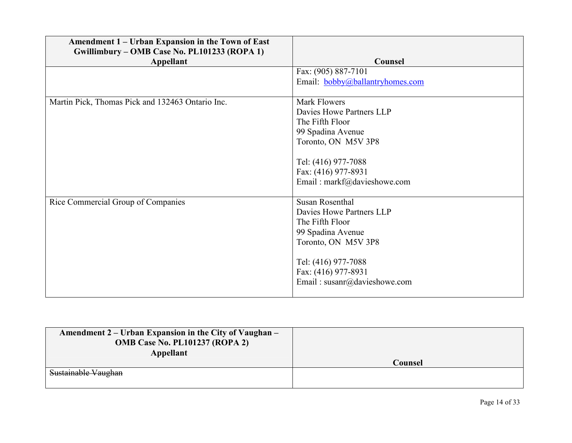| Amendment 1 – Urban Expansion in the Town of East<br>Gwillimbury – OMB Case No. PL101233 (ROPA 1) |                                 |
|---------------------------------------------------------------------------------------------------|---------------------------------|
| Appellant                                                                                         | Counsel                         |
|                                                                                                   | Fax: (905) 887-7101             |
|                                                                                                   | Email: bobby@ballantryhomes.com |
|                                                                                                   |                                 |
| Martin Pick, Thomas Pick and 132463 Ontario Inc.                                                  | Mark Flowers                    |
|                                                                                                   | Davies Howe Partners LLP        |
|                                                                                                   | The Fifth Floor                 |
|                                                                                                   | 99 Spadina Avenue               |
|                                                                                                   | Toronto, ON M5V 3P8             |
|                                                                                                   |                                 |
|                                                                                                   | Tel: (416) 977-7088             |
|                                                                                                   | Fax: (416) 977-8931             |
|                                                                                                   | Email: markf@davieshowe.com     |
| Rice Commercial Group of Companies                                                                | <b>Susan Rosenthal</b>          |
|                                                                                                   | Davies Howe Partners LLP        |
|                                                                                                   | The Fifth Floor                 |
|                                                                                                   | 99 Spadina Avenue               |
|                                                                                                   | Toronto, ON M5V 3P8             |
|                                                                                                   |                                 |
|                                                                                                   | Tel: (416) 977-7088             |
|                                                                                                   | Fax: (416) 977-8931             |
|                                                                                                   | Email: susanr@davieshowe.com    |
|                                                                                                   |                                 |

| Amendment 2 – Urban Expansion in the City of Vaughan –<br><b>OMB Case No. PL101237 (ROPA 2)</b><br><b>Appellant</b> |                |
|---------------------------------------------------------------------------------------------------------------------|----------------|
|                                                                                                                     | <b>Counsel</b> |
| Sustainable Vaughan                                                                                                 |                |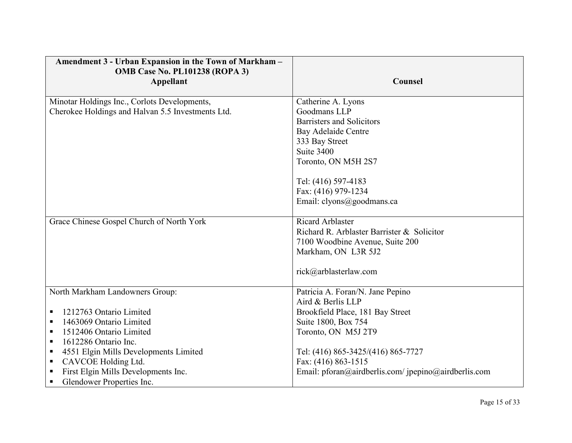| Amendment 3 - Urban Expansion in the Town of Markham -<br><b>OMB Case No. PL101238 (ROPA 3)</b><br><b>Appellant</b> | Counsel                                             |
|---------------------------------------------------------------------------------------------------------------------|-----------------------------------------------------|
| Minotar Holdings Inc., Corlots Developments,                                                                        | Catherine A. Lyons                                  |
| Cherokee Holdings and Halvan 5.5 Investments Ltd.                                                                   | Goodmans LLP                                        |
|                                                                                                                     | Barristers and Solicitors                           |
|                                                                                                                     | Bay Adelaide Centre                                 |
|                                                                                                                     | 333 Bay Street                                      |
|                                                                                                                     | Suite 3400                                          |
|                                                                                                                     | Toronto, ON M5H 2S7                                 |
|                                                                                                                     |                                                     |
|                                                                                                                     | Tel: (416) 597-4183                                 |
|                                                                                                                     | Fax: (416) 979-1234                                 |
|                                                                                                                     | Email: clyons@goodmans.ca                           |
| Grace Chinese Gospel Church of North York                                                                           | <b>Ricard Arblaster</b>                             |
|                                                                                                                     | Richard R. Arblaster Barrister & Solicitor          |
|                                                                                                                     | 7100 Woodbine Avenue, Suite 200                     |
|                                                                                                                     | Markham, ON L3R 5J2                                 |
|                                                                                                                     |                                                     |
|                                                                                                                     | rick@arblasterlaw.com                               |
|                                                                                                                     |                                                     |
| North Markham Landowners Group:                                                                                     | Patricia A. Foran/N. Jane Pepino                    |
|                                                                                                                     | Aird & Berlis LLP                                   |
| 1212763 Ontario Limited                                                                                             | Brookfield Place, 181 Bay Street                    |
| 1463069 Ontario Limited<br>п                                                                                        | Suite 1800, Box 754                                 |
| 1512406 Ontario Limited<br>п                                                                                        | Toronto, ON M5J 2T9                                 |
| 1612286 Ontario Inc.<br>п                                                                                           |                                                     |
| 4551 Elgin Mills Developments Limited<br>п                                                                          | Tel: (416) 865-3425/(416) 865-7727                  |
| CAVCOE Holding Ltd.<br>$\blacksquare$                                                                               | Fax: (416) 863-1515                                 |
| First Elgin Mills Developments Inc.                                                                                 | Email: pforan@airdberlis.com/jpepino@airdberlis.com |
| Glendower Properties Inc.<br>п                                                                                      |                                                     |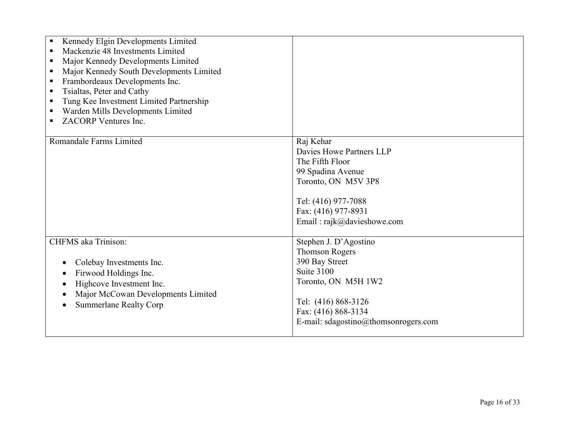| Kennedy Elgin Developments Limited<br>$\blacksquare$<br>Mackenzie 48 Investments Limited<br>$\blacksquare$<br>Major Kennedy Developments Limited<br>п<br>Major Kennedy South Developments Limited<br>п<br>Frambordeaux Developments Inc.<br>п<br>Tsialtas, Peter and Cathy<br>п<br>Tung Kee Investment Limited Partnership<br>п<br>Warden Mills Developments Limited<br>п<br>ZACORP Ventures Inc.<br>п |                                                                                                                                                                                             |
|--------------------------------------------------------------------------------------------------------------------------------------------------------------------------------------------------------------------------------------------------------------------------------------------------------------------------------------------------------------------------------------------------------|---------------------------------------------------------------------------------------------------------------------------------------------------------------------------------------------|
| Romandale Farms Limited                                                                                                                                                                                                                                                                                                                                                                                | Raj Kehar<br>Davies Howe Partners LLP<br>The Fifth Floor<br>99 Spadina Avenue<br>Toronto, ON M5V 3P8<br>Tel: (416) 977-7088<br>Fax: (416) 977-8931<br>Email: $rajk@davieshowe.com$          |
| CHFMS aka Trinison:<br>Colebay Investments Inc.<br>Firwood Holdings Inc.<br>Highcove Investment Inc.<br>Major McCowan Developments Limited<br><b>Summerlane Realty Corp</b>                                                                                                                                                                                                                            | Stephen J. D'Agostino<br><b>Thomson Rogers</b><br>390 Bay Street<br>Suite 3100<br>Toronto, ON M5H 1W2<br>Tel: (416) 868-3126<br>Fax: (416) 868-3134<br>E-mail: sdagostino@thomsonrogers.com |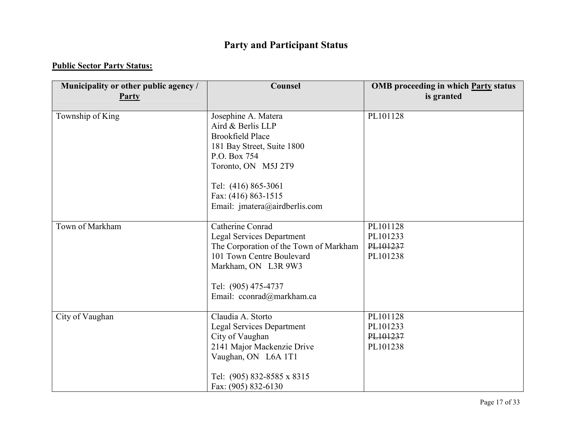# **Party and Participant Status**

## **Public Sector Party Status:**

| Municipality or other public agency /<br>Party | Counsel                                                                                                                                                                                                                 | <b>OMB</b> proceeding in which <b>Party</b> status<br>is granted |
|------------------------------------------------|-------------------------------------------------------------------------------------------------------------------------------------------------------------------------------------------------------------------------|------------------------------------------------------------------|
| Township of King                               | Josephine A. Matera<br>Aird & Berlis LLP<br><b>Brookfield Place</b><br>181 Bay Street, Suite 1800<br>P.O. Box 754<br>Toronto, ON M5J 2T9<br>Tel: (416) 865-3061<br>Fax: (416) 863-1515<br>Email: jmatera@airdberlis.com | PL101128                                                         |
| Town of Markham                                | Catherine Conrad<br><b>Legal Services Department</b><br>The Corporation of the Town of Markham<br>101 Town Centre Boulevard<br>Markham, ON L3R 9W3<br>Tel: (905) 475-4737<br>Email: cconrad@markham.ca                  | PL101128<br>PL101233<br>PL101237<br>PL101238                     |
| City of Vaughan                                | Claudia A. Storto<br><b>Legal Services Department</b><br>City of Vaughan<br>2141 Major Mackenzie Drive<br>Vaughan, ON L6A 1T1<br>Tel: (905) 832-8585 x 8315<br>Fax: (905) 832-6130                                      | PL101128<br>PL101233<br>PL101237<br>PL101238                     |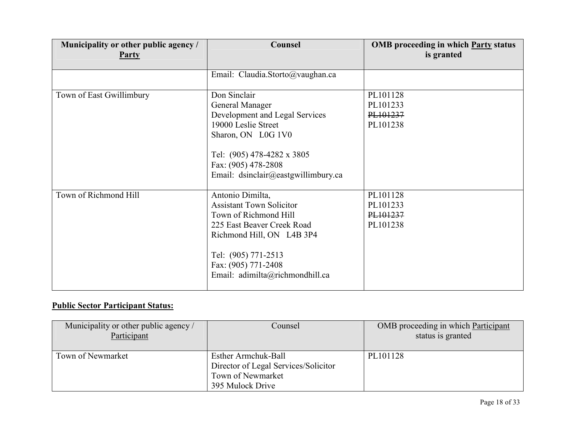| Municipality or other public agency /<br><b>Party</b> | Counsel                                                                                                                                                                                                                  | <b>OMB</b> proceeding in which <b>Party</b> status<br>is granted |
|-------------------------------------------------------|--------------------------------------------------------------------------------------------------------------------------------------------------------------------------------------------------------------------------|------------------------------------------------------------------|
|                                                       | Email: Claudia.Storto@vaughan.ca                                                                                                                                                                                         |                                                                  |
| Town of East Gwillimbury                              | Don Sinclair<br>General Manager<br>Development and Legal Services<br>19000 Leslie Street<br>Sharon, ON L0G 1V0<br>Tel: (905) 478-4282 x 3805<br>Fax: (905) 478-2808<br>Email: dsinclair@eastgwillimbury.ca               | PL101128<br>PL101233<br>PL101237<br>PL101238                     |
| Town of Richmond Hill                                 | Antonio Dimilta,<br><b>Assistant Town Solicitor</b><br>Town of Richmond Hill<br>225 East Beaver Creek Road<br>Richmond Hill, ON L4B 3P4<br>Tel: (905) 771-2513<br>Fax: (905) 771-2408<br>Email: adimilta@richmondhill.ca | PL101128<br>PL101233<br>PL101237<br>PL101238                     |

## **Public Sector Participant Status:**

| Municipality or other public agency /<br>Participant | Counsel                                                                                              | OMB proceeding in which Participant<br>status is granted |
|------------------------------------------------------|------------------------------------------------------------------------------------------------------|----------------------------------------------------------|
| Town of Newmarket                                    | Esther Armchuk-Ball<br>Director of Legal Services/Solicitor<br>Town of Newmarket<br>395 Mulock Drive | PL101128                                                 |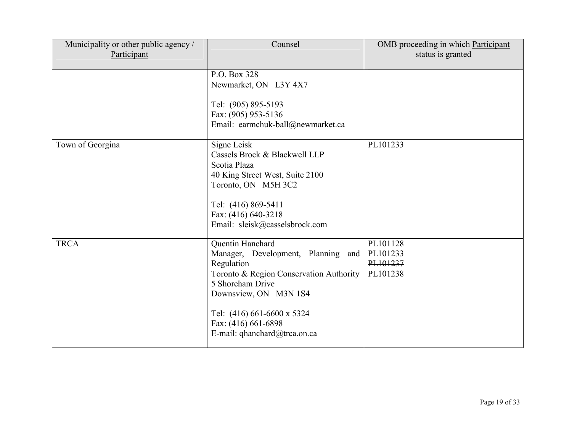| Municipality or other public agency /<br>Participant | Counsel                                                                                                                                                                                                                                           | OMB proceeding in which Participant<br>status is granted |
|------------------------------------------------------|---------------------------------------------------------------------------------------------------------------------------------------------------------------------------------------------------------------------------------------------------|----------------------------------------------------------|
|                                                      | P.O. Box 328                                                                                                                                                                                                                                      |                                                          |
|                                                      | Newmarket, ON L3Y 4X7                                                                                                                                                                                                                             |                                                          |
|                                                      | Tel: (905) 895-5193<br>Fax: (905) 953-5136<br>Email: earmchuk-ball@newmarket.ca                                                                                                                                                                   |                                                          |
| Town of Georgina                                     | Signe Leisk<br>Cassels Brock & Blackwell LLP<br>Scotia Plaza<br>40 King Street West, Suite 2100<br>Toronto, ON M5H 3C2<br>Tel: (416) 869-5411<br>Fax: (416) 640-3218<br>Email: sleisk@casselsbrock.com                                            | PL101233                                                 |
| <b>TRCA</b>                                          | Quentin Hanchard<br>Manager, Development, Planning and<br>Regulation<br>Toronto & Region Conservation Authority<br>5 Shoreham Drive<br>Downsview, ON M3N 1S4<br>Tel: (416) 661-6600 x 5324<br>Fax: (416) 661-6898<br>E-mail: qhanchard@trca.on.ca | PL101128<br>PL101233<br>PL101237<br>PL101238             |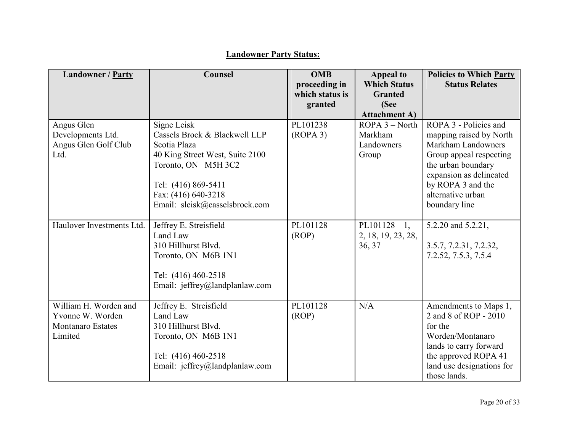# **Landowner Party Status:**

| <b>Landowner / Party</b>                                                  | Counsel                                                                                                                                                                                                | <b>OMB</b><br>proceeding in<br>which status is<br>granted | <b>Appeal to</b><br><b>Which Status</b><br><b>Granted</b><br>(See<br><b>Attachment A)</b> | <b>Policies to Which Party</b><br><b>Status Relates</b>                                                                                                                                                       |
|---------------------------------------------------------------------------|--------------------------------------------------------------------------------------------------------------------------------------------------------------------------------------------------------|-----------------------------------------------------------|-------------------------------------------------------------------------------------------|---------------------------------------------------------------------------------------------------------------------------------------------------------------------------------------------------------------|
| Angus Glen<br>Developments Ltd.<br>Angus Glen Golf Club<br>Ltd.           | Signe Leisk<br>Cassels Brock & Blackwell LLP<br>Scotia Plaza<br>40 King Street West, Suite 2100<br>Toronto, ON M5H 3C2<br>Tel: (416) 869-5411<br>Fax: (416) 640-3218<br>Email: sleisk@casselsbrock.com | PL101238<br>(ROPA <sub>3</sub> )                          | ROPA 3 - North<br>Markham<br>Landowners<br>Group                                          | ROPA 3 - Policies and<br>mapping raised by North<br>Markham Landowners<br>Group appeal respecting<br>the urban boundary<br>expansion as delineated<br>by ROPA 3 and the<br>alternative urban<br>boundary line |
| Haulover Investments Ltd.                                                 | Jeffrey E. Streisfield<br>Land Law<br>310 Hillhurst Blvd.<br>Toronto, ON M6B 1N1<br>Tel: (416) 460-2518<br>Email: jeffrey@landplanlaw.com                                                              | PL101128<br>(ROP)                                         | $PL101128 - 1,$<br>2, 18, 19, 23, 28,<br>36, 37                                           | 5.2.20 and 5.2.21,<br>3.5.7, 7.2.31, 7.2.32,<br>7.2.52, 7.5.3, 7.5.4                                                                                                                                          |
| William H. Worden and<br>Yvonne W. Worden<br>Montanaro Estates<br>Limited | Jeffrey E. Streisfield<br>Land Law<br>310 Hillhurst Blvd.<br>Toronto, ON M6B 1N1<br>Tel: (416) 460-2518<br>Email: jeffrey@landplanlaw.com                                                              | PL101128<br>(ROP)                                         | N/A                                                                                       | Amendments to Maps 1,<br>2 and 8 of ROP - 2010<br>for the<br>Worden/Montanaro<br>lands to carry forward<br>the approved ROPA 41<br>land use designations for<br>those lands.                                  |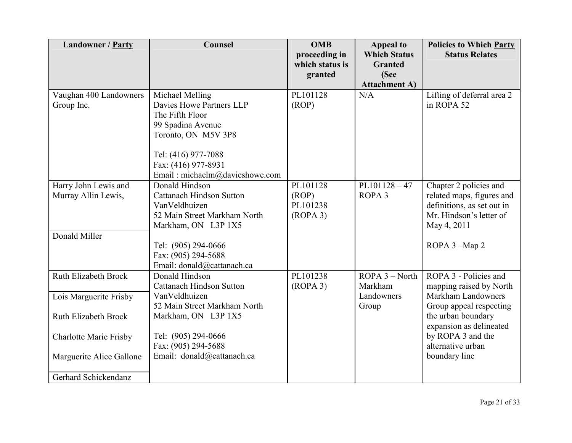| <b>Landowner / Party</b>                    | Counsel                                                                                                                           | <b>OMB</b>                                            | <b>Appeal to</b>                      | <b>Policies to Which Party</b>                                                                                              |
|---------------------------------------------|-----------------------------------------------------------------------------------------------------------------------------------|-------------------------------------------------------|---------------------------------------|-----------------------------------------------------------------------------------------------------------------------------|
|                                             |                                                                                                                                   | proceeding in<br>which status is                      | <b>Which Status</b><br><b>Granted</b> | <b>Status Relates</b>                                                                                                       |
|                                             |                                                                                                                                   | granted                                               | (See                                  |                                                                                                                             |
|                                             |                                                                                                                                   |                                                       | <b>Attachment A)</b>                  |                                                                                                                             |
| Vaughan 400 Landowners<br>Group Inc.        | Michael Melling<br>Davies Howe Partners LLP<br>The Fifth Floor<br>99 Spadina Avenue<br>Toronto, ON M5V 3P8<br>Tel: (416) 977-7088 | PL101128<br>(ROP)                                     | N/A                                   | Lifting of deferral area 2<br>in ROPA 52                                                                                    |
|                                             | Fax: (416) 977-8931<br>Email: michaelm@davieshowe.com                                                                             |                                                       |                                       |                                                                                                                             |
| Harry John Lewis and<br>Murray Allin Lewis, | Donald Hindson<br><b>Cattanach Hindson Sutton</b><br>VanVeldhuizen<br>52 Main Street Markham North<br>Markham, ON L3P 1X5         | PL101128<br>(ROP)<br>PL101238<br>(ROPA <sub>3</sub> ) | $PL101128 - 47$<br>ROPA <sub>3</sub>  | Chapter 2 policies and<br>related maps, figures and<br>definitions, as set out in<br>Mr. Hindson's letter of<br>May 4, 2011 |
| Donald Miller                               | Tel: (905) 294-0666<br>Fax: (905) 294-5688<br>Email: donald@cattanach.ca                                                          |                                                       |                                       | ROPA 3-Map 2                                                                                                                |
| <b>Ruth Elizabeth Brock</b>                 | Donald Hindson<br><b>Cattanach Hindson Sutton</b>                                                                                 | PL101238<br>(ROPA 3)                                  | $ROPA 3 - North$<br>Markham           | ROPA 3 - Policies and<br>mapping raised by North                                                                            |
| Lois Marguerite Frisby                      | VanVeldhuizen<br>52 Main Street Markham North                                                                                     |                                                       | Landowners<br>Group                   | Markham Landowners<br>Group appeal respecting                                                                               |
| <b>Ruth Elizabeth Brock</b>                 | Markham, ON L3P 1X5                                                                                                               |                                                       |                                       | the urban boundary<br>expansion as delineated                                                                               |
| <b>Charlotte Marie Frisby</b>               | Tel: (905) 294-0666<br>Fax: (905) 294-5688                                                                                        |                                                       |                                       | by ROPA 3 and the<br>alternative urban                                                                                      |
| Marguerite Alice Gallone                    | Email: donald@cattanach.ca                                                                                                        |                                                       |                                       | boundary line                                                                                                               |
| Gerhard Schickendanz                        |                                                                                                                                   |                                                       |                                       |                                                                                                                             |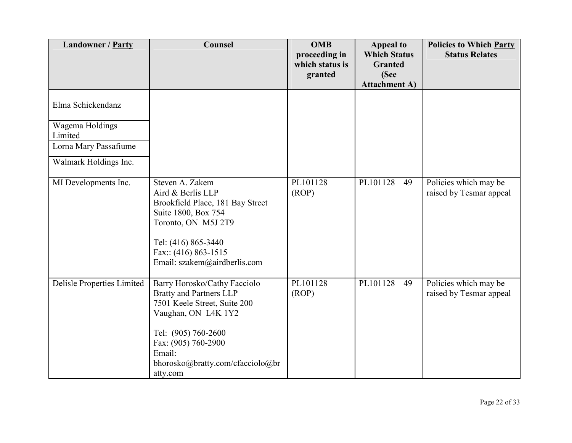| <b>Landowner / Party</b>                       | <b>Counsel</b>                                                                                                                                                                                            | <b>OMB</b><br>proceeding in<br>which status is<br>granted | <b>Appeal to</b><br><b>Which Status</b><br><b>Granted</b><br>(See<br><b>Attachment A)</b> | <b>Policies to Which Party</b><br><b>Status Relates</b> |
|------------------------------------------------|-----------------------------------------------------------------------------------------------------------------------------------------------------------------------------------------------------------|-----------------------------------------------------------|-------------------------------------------------------------------------------------------|---------------------------------------------------------|
| Elma Schickendanz                              |                                                                                                                                                                                                           |                                                           |                                                                                           |                                                         |
| Wagema Holdings<br>Limited                     |                                                                                                                                                                                                           |                                                           |                                                                                           |                                                         |
| Lorna Mary Passafiume<br>Walmark Holdings Inc. |                                                                                                                                                                                                           |                                                           |                                                                                           |                                                         |
| MI Developments Inc.                           | Steven A. Zakem<br>Aird & Berlis LLP<br>Brookfield Place, 181 Bay Street<br>Suite 1800, Box 754<br>Toronto, ON M5J 2T9<br>Tel: (416) 865-3440<br>Fax:: $(416) 863 - 1515$<br>Email: szakem@airdberlis.com | PL101128<br>(ROP)                                         | $PL101128 - 49$                                                                           | Policies which may be<br>raised by Tesmar appeal        |
| Delisle Properties Limited                     | Barry Horosko/Cathy Facciolo<br><b>Bratty and Partners LLP</b><br>7501 Keele Street, Suite 200<br>Vaughan, ON L4K 1Y2                                                                                     | PL101128<br>(ROP)                                         | $PL101128 - 49$                                                                           | Policies which may be<br>raised by Tesmar appeal        |
|                                                | Tel: (905) 760-2600<br>Fax: (905) 760-2900<br>Email:<br>bhorosko@bratty.com/cfacciolo@br<br>atty.com                                                                                                      |                                                           |                                                                                           |                                                         |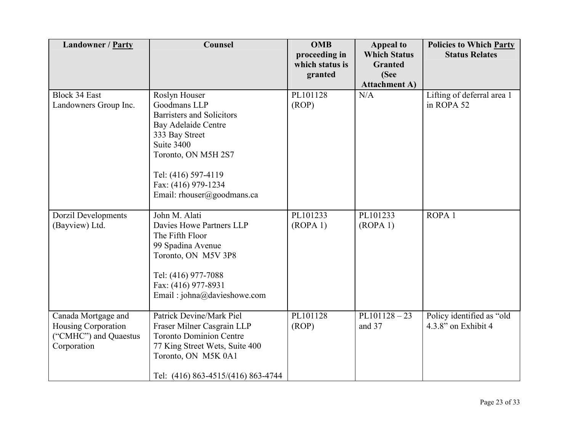| <b>Landowner / Party</b>                                                           | Counsel                                                                                                                                                                                                                     | <b>OMB</b><br>proceeding in<br>which status is<br>granted | <b>Appeal to</b><br><b>Which Status</b><br><b>Granted</b><br>(See<br><b>Attachment A)</b> | <b>Policies to Which Party</b><br><b>Status Relates</b> |
|------------------------------------------------------------------------------------|-----------------------------------------------------------------------------------------------------------------------------------------------------------------------------------------------------------------------------|-----------------------------------------------------------|-------------------------------------------------------------------------------------------|---------------------------------------------------------|
| <b>Block 34 East</b><br>Landowners Group Inc.                                      | Roslyn Houser<br>Goodmans LLP<br>Barristers and Solicitors<br><b>Bay Adelaide Centre</b><br>333 Bay Street<br>Suite 3400<br>Toronto, ON M5H 2S7<br>Tel: (416) 597-4119<br>Fax: (416) 979-1234<br>Email: rhouser@goodmans.ca | PL101128<br>(ROP)                                         | N/A                                                                                       | Lifting of deferral area 1<br>in ROPA 52                |
| <b>Dorzil Developments</b><br>(Bayview) Ltd.                                       | John M. Alati<br>Davies Howe Partners LLP<br>The Fifth Floor<br>99 Spadina Avenue<br>Toronto, ON M5V 3P8<br>Tel: (416) 977-7088<br>Fax: (416) 977-8931<br>Email: johna@davieshowe.com                                       | PL101233<br>(ROPA 1)                                      | PL101233<br>(ROPA 1)                                                                      | ROPA <sub>1</sub>                                       |
| Canada Mortgage and<br>Housing Corporation<br>("CMHC") and Quaestus<br>Corporation | Patrick Devine/Mark Piel<br>Fraser Milner Casgrain LLP<br><b>Toronto Dominion Centre</b><br>77 King Street Wets, Suite 400<br>Toronto, ON M5K 0A1<br>Tel: (416) 863-4515/(416) 863-4744                                     | PL101128<br>(ROP)                                         | $PL101128 - 23$<br>and 37                                                                 | Policy identified as "old<br>4.3.8" on Exhibit 4        |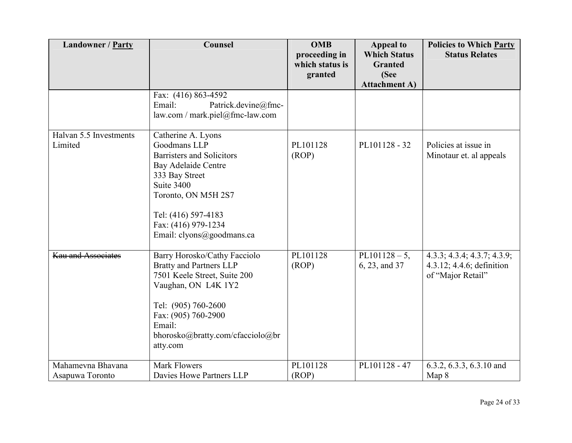| Landowner / Party                    | Counsel                                                                                                                                                                                                                       | <b>OMB</b><br>proceeding in | <b>Appeal to</b><br><b>Which Status</b> | <b>Policies to Which Party</b><br><b>Status Relates</b>                       |
|--------------------------------------|-------------------------------------------------------------------------------------------------------------------------------------------------------------------------------------------------------------------------------|-----------------------------|-----------------------------------------|-------------------------------------------------------------------------------|
|                                      |                                                                                                                                                                                                                               | which status is<br>granted  | <b>Granted</b><br>(See                  |                                                                               |
|                                      |                                                                                                                                                                                                                               |                             | <b>Attachment A)</b>                    |                                                                               |
|                                      | Fax: (416) 863-4592<br>Email:<br>Patrick.devine@fmc-<br>$law.com / mark.piel@fmc-law.com$                                                                                                                                     |                             |                                         |                                                                               |
| Halvan 5.5 Investments<br>Limited    | Catherine A. Lyons<br>Goodmans LLP<br>Barristers and Solicitors<br>Bay Adelaide Centre<br>333 Bay Street<br>Suite 3400<br>Toronto, ON M5H 2S7<br>Tel: (416) 597-4183<br>Fax: (416) 979-1234<br>Email: clyons@goodmans.ca      | PL101128<br>(ROP)           | PL101128 - 32                           | Policies at issue in<br>Minotaur et. al appeals                               |
| <b>Kau and Associates</b>            | Barry Horosko/Cathy Facciolo<br><b>Bratty and Partners LLP</b><br>7501 Keele Street, Suite 200<br>Vaughan, ON L4K 1Y2<br>Tel: (905) 760-2600<br>Fax: (905) 760-2900<br>Email:<br>bhorosko@bratty.com/cfacciolo@br<br>atty.com | PL101128<br>(ROP)           | $PL101128 - 5$ ,<br>6, 23, and 37       | 4.3.3; 4.3.4; 4.3.7; 4.3.9;<br>4.3.12; 4.4.6; definition<br>of "Major Retail" |
| Mahamevna Bhavana<br>Asapuwa Toronto | <b>Mark Flowers</b><br>Davies Howe Partners LLP                                                                                                                                                                               | PL101128<br>(ROP)           | PL101128 - 47                           | 6.3.2, 6.3.3, 6.3.10 and<br>Map 8                                             |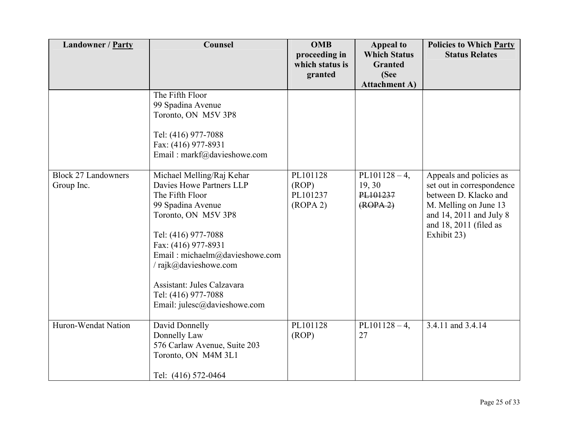| <b>Landowner / Party</b>                 | Counsel                                                                                                                                                                                                                                                                                                        | <b>OMB</b><br>proceeding in<br>which status is<br>granted | <b>Appeal</b> to<br><b>Which Status</b><br><b>Granted</b><br>(See         | <b>Policies to Which Party</b><br><b>Status Relates</b>                                                                                                                         |
|------------------------------------------|----------------------------------------------------------------------------------------------------------------------------------------------------------------------------------------------------------------------------------------------------------------------------------------------------------------|-----------------------------------------------------------|---------------------------------------------------------------------------|---------------------------------------------------------------------------------------------------------------------------------------------------------------------------------|
| <b>Block 27 Landowners</b><br>Group Inc. | The Fifth Floor<br>99 Spadina Avenue<br>Toronto, ON M5V 3P8<br>Tel: (416) 977-7088<br>Fax: (416) 977-8931<br>Email: markf@davieshowe.com<br>Michael Melling/Raj Kehar<br>Davies Howe Partners LLP<br>The Fifth Floor<br>99 Spadina Avenue<br>Toronto, ON M5V 3P8<br>Tel: (416) 977-7088<br>Fax: (416) 977-8931 | PL101128<br>(ROP)<br>PL101237<br>(ROPA 2)                 | <b>Attachment A)</b><br>$PL101128 - 4$ ,<br>19, 30<br>PL101237<br>(ROPA2) | Appeals and policies as<br>set out in correspondence<br>between D. Klacko and<br>M. Melling on June 13<br>and 14, 2011 and July 8<br>and $18$ , $2011$ (filed as<br>Exhibit 23) |
| Huron-Wendat Nation                      | Email: michaelm@davieshowe.com<br>/ rajk@davieshowe.com<br>Assistant: Jules Calzavara<br>Tel: (416) 977-7088<br>Email: julesc@davieshowe.com<br>David Donnelly<br>Donnelly Law<br>576 Carlaw Avenue, Suite 203<br>Toronto, ON M4M 3L1                                                                          | PL101128<br>(ROP)                                         | $PL101128 - 4$ ,<br>27                                                    | 3.4.11 and 3.4.14                                                                                                                                                               |
|                                          | Tel: (416) 572-0464                                                                                                                                                                                                                                                                                            |                                                           |                                                                           |                                                                                                                                                                                 |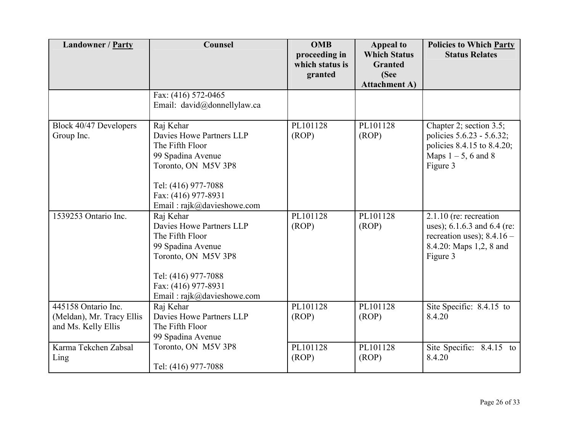| <b>Landowner / Party</b>                                                | Counsel                                                                                                                                                                            | <b>OMB</b><br>proceeding in<br>which status is<br>granted | <b>Appeal to</b><br><b>Which Status</b><br><b>Granted</b><br>(See | <b>Policies to Which Party</b><br><b>Status Relates</b>                                                                        |
|-------------------------------------------------------------------------|------------------------------------------------------------------------------------------------------------------------------------------------------------------------------------|-----------------------------------------------------------|-------------------------------------------------------------------|--------------------------------------------------------------------------------------------------------------------------------|
|                                                                         | Fax: (416) 572-0465<br>Email: david@donnellylaw.ca                                                                                                                                 |                                                           | <b>Attachment A)</b>                                              |                                                                                                                                |
| Block 40/47 Developers<br>Group Inc.                                    | Raj Kehar<br>Davies Howe Partners LLP<br>The Fifth Floor<br>99 Spadina Avenue<br>Toronto, ON M5V 3P8<br>Tel: (416) 977-7088<br>Fax: (416) 977-8931<br>Email: $rajk@davieshowe.com$ | PL101128<br>(ROP)                                         | PL101128<br>(ROP)                                                 | Chapter 2; section 3.5;<br>policies 5.6.23 - 5.6.32;<br>policies 8.4.15 to 8.4.20;<br>Maps $1-5$ , 6 and 8<br>Figure 3         |
| 1539253 Ontario Inc.                                                    | Raj Kehar<br>Davies Howe Partners LLP<br>The Fifth Floor<br>99 Spadina Avenue<br>Toronto, ON M5V 3P8<br>Tel: (416) 977-7088<br>Fax: (416) 977-8931<br>Email: $rajk@davieshowe.com$ | PL101128<br>(ROP)                                         | PL101128<br>(ROP)                                                 | $2.1.10$ (re: recreation<br>uses); 6.1.6.3 and 6.4 (re:<br>recreation uses); $8.4.16 -$<br>8.4.20: Maps 1,2, 8 and<br>Figure 3 |
| 445158 Ontario Inc.<br>(Meldan), Mr. Tracy Ellis<br>and Ms. Kelly Ellis | Raj Kehar<br>Davies Howe Partners LLP<br>The Fifth Floor<br>99 Spadina Avenue                                                                                                      | PL101128<br>(ROP)                                         | PL101128<br>(ROP)                                                 | Site Specific: 8.4.15 to<br>8.4.20                                                                                             |
| Karma Tekchen Zabsal<br>Ling                                            | Toronto, ON M5V 3P8<br>Tel: (416) 977-7088                                                                                                                                         | PL101128<br>(ROP)                                         | PL101128<br>(ROP)                                                 | Site Specific: $8.4.15 \text{ to}$<br>8.4.20                                                                                   |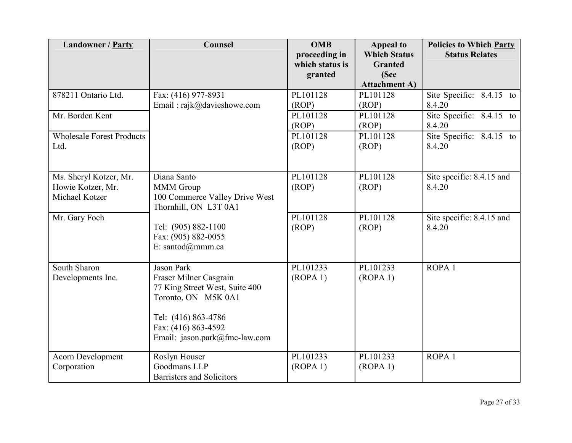| <b>Landowner / Party</b>         | <b>Counsel</b>                                          | <b>OMB</b><br>proceeding in<br>which status is | <b>Appeal to</b><br><b>Which Status</b><br><b>Granted</b> | <b>Policies to Which Party</b><br><b>Status Relates</b> |
|----------------------------------|---------------------------------------------------------|------------------------------------------------|-----------------------------------------------------------|---------------------------------------------------------|
|                                  |                                                         | granted                                        | (See                                                      |                                                         |
|                                  |                                                         |                                                | <b>Attachment A)</b>                                      |                                                         |
| 878211 Ontario Ltd.              | Fax: (416) 977-8931                                     | PL101128                                       | PL101128                                                  | Site Specific: 8.4.15 to                                |
|                                  | Email: rajk@davieshowe.com                              | (ROP)                                          | (ROP)                                                     | 8.4.20                                                  |
| Mr. Borden Kent                  |                                                         | PL101128                                       | PL101128                                                  | Site Specific: 8.4.15 to                                |
|                                  |                                                         | (ROP)                                          | (ROP)                                                     | 8.4.20                                                  |
| <b>Wholesale Forest Products</b> |                                                         | PL101128                                       | PL101128                                                  | Site Specific: 8.4.15 to                                |
| Ltd.                             |                                                         | (ROP)                                          | (ROP)                                                     | 8.4.20                                                  |
| Ms. Sheryl Kotzer, Mr.           | Diana Santo                                             | PL101128                                       | PL101128                                                  | Site specific: 8.4.15 and                               |
| Howie Kotzer, Mr.                | <b>MMM</b> Group                                        | (ROP)                                          | (ROP)                                                     | 8.4.20                                                  |
| Michael Kotzer                   | 100 Commerce Valley Drive West<br>Thornhill, ON L3T 0A1 |                                                |                                                           |                                                         |
| Mr. Gary Foch                    |                                                         | PL101128                                       | PL101128                                                  | Site specific: 8.4.15 and                               |
|                                  | Tel: (905) 882-1100                                     | (ROP)                                          | (ROP)                                                     | 8.4.20                                                  |
|                                  | Fax: (905) 882-0055                                     |                                                |                                                           |                                                         |
|                                  | E: santod@mmm.ca                                        |                                                |                                                           |                                                         |
| South Sharon                     | <b>Jason Park</b>                                       | PL101233                                       | PL101233                                                  | ROPA <sub>1</sub>                                       |
| Developments Inc.                | Fraser Milner Casgrain                                  | (ROPA1)                                        | (ROPA 1)                                                  |                                                         |
|                                  | 77 King Street West, Suite 400                          |                                                |                                                           |                                                         |
|                                  | Toronto, ON M5K 0A1                                     |                                                |                                                           |                                                         |
|                                  | Tel: (416) 863-4786                                     |                                                |                                                           |                                                         |
|                                  | Fax: (416) 863-4592                                     |                                                |                                                           |                                                         |
|                                  | Email: jason.park@fmc-law.com                           |                                                |                                                           |                                                         |
|                                  |                                                         |                                                |                                                           |                                                         |
| <b>Acorn Development</b>         | Roslyn Houser                                           | PL101233                                       | PL101233                                                  | ROPA <sub>1</sub>                                       |
| Corporation                      | Goodmans LLP                                            | (ROPA1)                                        | (ROPA1)                                                   |                                                         |
|                                  | Barristers and Solicitors                               |                                                |                                                           |                                                         |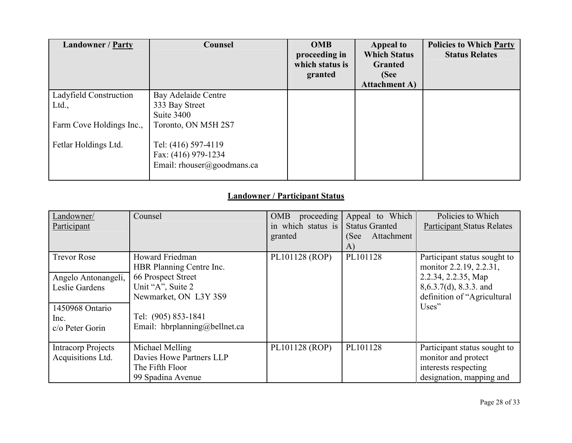| <b>Landowner</b> / <b>Party</b> | <b>Counsel</b>                | <b>OMB</b><br>proceeding in<br>which status is<br>granted | <b>Appeal to</b><br><b>Which Status</b><br><b>Granted</b><br>(See<br><b>Attachment A)</b> | <b>Policies to Which Party</b><br><b>Status Relates</b> |
|---------------------------------|-------------------------------|-----------------------------------------------------------|-------------------------------------------------------------------------------------------|---------------------------------------------------------|
| Ladyfield Construction          | Bay Adelaide Centre           |                                                           |                                                                                           |                                                         |
| Ltd.,                           | 333 Bay Street                |                                                           |                                                                                           |                                                         |
|                                 | Suite 3400                    |                                                           |                                                                                           |                                                         |
| Farm Cove Holdings Inc.,        | Toronto, ON M5H 2S7           |                                                           |                                                                                           |                                                         |
| Fetlar Holdings Ltd.            | Tel: (416) 597-4119           |                                                           |                                                                                           |                                                         |
|                                 | Fax: (416) 979-1234           |                                                           |                                                                                           |                                                         |
|                                 | Email: $r$ houser@goodmans.ca |                                                           |                                                                                           |                                                         |

# **Landowner / Participant Status**

| Landowner/<br>Participant                      | Counsel                                                                             | proceeding<br><b>OMB</b><br>in which status is<br>granted | Appeal to Which<br><b>Status Granted</b><br>Attachment<br>(See<br>A) | Policies to Which<br><b>Participant Status Relates</b>                                                  |
|------------------------------------------------|-------------------------------------------------------------------------------------|-----------------------------------------------------------|----------------------------------------------------------------------|---------------------------------------------------------------------------------------------------------|
| <b>Trevor Rose</b>                             | Howard Friedman<br>HBR Planning Centre Inc.                                         | PL101128 (ROP)                                            | PL101128                                                             | Participant status sought to<br>monitor 2.2.19, 2.2.31,                                                 |
| Angelo Antonangeli,<br>Leslie Gardens          | 66 Prospect Street<br>Unit "A", Suite 2<br>Newmarket, ON L3Y 3S9                    |                                                           |                                                                      | 2.2.34, 2.2.35, Map<br>8,6.3.7(d), 8.3.3. and<br>definition of "Agricultural"                           |
| 1450968 Ontario<br>Inc.<br>c/o Peter Gorin     | Tel: (905) 853-1841<br>Email: hbrplanning@bellnet.ca                                |                                                           |                                                                      | Uses"                                                                                                   |
| <b>Intracorp Projects</b><br>Acquisitions Ltd. | Michael Melling<br>Davies Howe Partners LLP<br>The Fifth Floor<br>99 Spadina Avenue | PL101128 (ROP)                                            | PL101128                                                             | Participant status sought to<br>monitor and protect<br>interests respecting<br>designation, mapping and |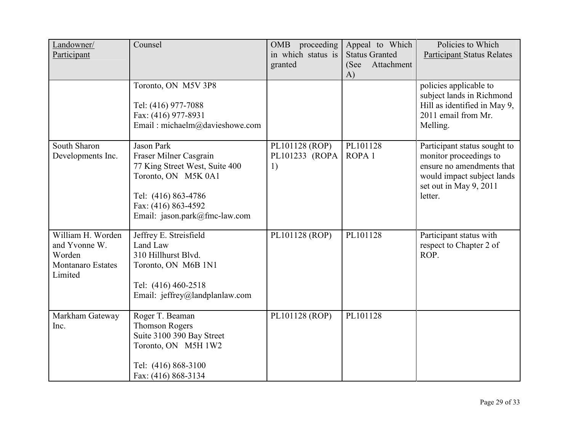| Landowner/<br>Participant                                                           | Counsel                                                                                                                                                                             | OMB<br>proceeding<br>in which status is<br>granted | Appeal to Which<br><b>Status Granted</b><br>(See<br>Attachment<br>A) | Policies to Which<br><b>Participant Status Relates</b>                                                                                                 |
|-------------------------------------------------------------------------------------|-------------------------------------------------------------------------------------------------------------------------------------------------------------------------------------|----------------------------------------------------|----------------------------------------------------------------------|--------------------------------------------------------------------------------------------------------------------------------------------------------|
|                                                                                     | Toronto, ON M5V 3P8<br>Tel: (416) 977-7088<br>Fax: (416) 977-8931<br>Email: michaelm@davieshowe.com                                                                                 |                                                    |                                                                      | policies applicable to<br>subject lands in Richmond<br>Hill as identified in May 9,<br>2011 email from Mr.<br>Melling.                                 |
| South Sharon<br>Developments Inc.                                                   | <b>Jason Park</b><br>Fraser Milner Casgrain<br>77 King Street West, Suite 400<br>Toronto, ON M5K 0A1<br>Tel: (416) 863-4786<br>Fax: (416) 863-4592<br>Email: jason.park@fmc-law.com | PL101128 (ROP)<br>PL101233 (ROPA<br>1)             | PL101128<br>ROPA <sub>1</sub>                                        | Participant status sought to<br>monitor proceedings to<br>ensure no amendments that<br>would impact subject lands<br>set out in May 9, 2011<br>letter. |
| William H. Worden<br>and Yvonne W.<br>Worden<br><b>Montanaro Estates</b><br>Limited | Jeffrey E. Streisfield<br>Land Law<br>310 Hillhurst Blvd.<br>Toronto, ON M6B 1N1<br>Tel: (416) 460-2518<br>Email: jeffrey@landplanlaw.com                                           | PL101128 (ROP)                                     | PL101128                                                             | Participant status with<br>respect to Chapter 2 of<br>ROP.                                                                                             |
| Markham Gateway<br>Inc.                                                             | Roger T. Beaman<br><b>Thomson Rogers</b><br>Suite 3100 390 Bay Street<br>Toronto, ON M5H 1W2<br>Tel: (416) 868-3100<br>Fax: (416) 868-3134                                          | PL101128 (ROP)                                     | PL101128                                                             |                                                                                                                                                        |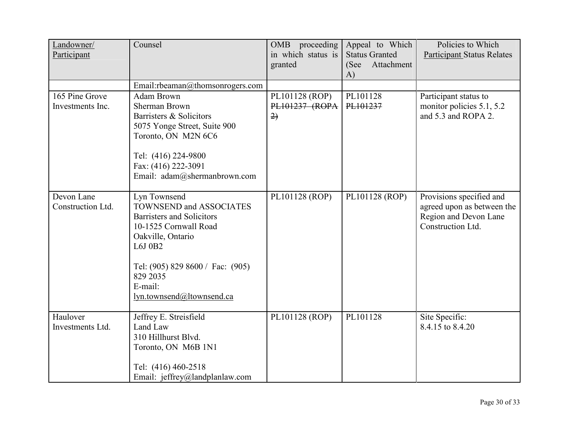| Landowner/<br>Participant          | Counsel                                                                                                                                                                                                                             | OMB proceeding<br>in which status is<br>granted                  | Appeal to Which<br><b>Status Granted</b><br>(See<br>Attachment<br>$\bf{A}$ | Policies to Which<br><b>Participant Status Relates</b>                                               |
|------------------------------------|-------------------------------------------------------------------------------------------------------------------------------------------------------------------------------------------------------------------------------------|------------------------------------------------------------------|----------------------------------------------------------------------------|------------------------------------------------------------------------------------------------------|
|                                    | Email:rbeaman@thomsonrogers.com                                                                                                                                                                                                     |                                                                  |                                                                            |                                                                                                      |
| 165 Pine Grove<br>Investments Inc. | Adam Brown<br><b>Sherman Brown</b><br>Barristers & Solicitors<br>5075 Yonge Street, Suite 900<br>Toronto, ON M2N 6C6<br>Tel: (416) 224-9800<br>Fax: (416) 222-3091<br>Email: adam@shermanbrown.com                                  | PL101128 (ROP)<br>PL101237 (ROPA<br>$\left( \frac{2}{2} \right)$ | PL101128<br>PL101237                                                       | Participant status to<br>monitor policies 5.1, 5.2<br>and 5.3 and ROPA 2.                            |
| Devon Lane<br>Construction Ltd.    | Lyn Townsend<br><b>TOWNSEND and ASSOCIATES</b><br><b>Barristers and Solicitors</b><br>10-1525 Cornwall Road<br>Oakville, Ontario<br>L6J 0B2<br>Tel: (905) 829 8600 / Fac: (905)<br>829 2035<br>E-mail:<br>lyn.townsend@ltownsend.ca | PL101128 (ROP)                                                   | PL101128 (ROP)                                                             | Provisions specified and<br>agreed upon as between the<br>Region and Devon Lane<br>Construction Ltd. |
| Haulover<br>Investments Ltd.       | Jeffrey E. Streisfield<br>Land Law<br>310 Hillhurst Blvd.<br>Toronto, ON M6B 1N1<br>Tel: (416) 460-2518<br>Email: jeffrey@landplanlaw.com                                                                                           | PL101128 (ROP)                                                   | PL101128                                                                   | Site Specific:<br>8.4.15 to 8.4.20                                                                   |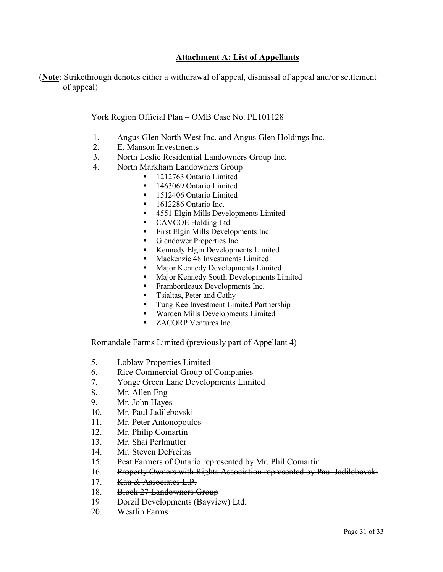## **Attachment A: List of Appellants**

(**Note**: Strikethrough denotes either a withdrawal of appeal, dismissal of appeal and/or settlement of appeal)

York Region Official Plan – OMB Case No. PL101128

- 1. Angus Glen North West Inc. and Angus Glen Holdings Inc.
- 2. E. Manson Investments
- 3. North Leslie Residential Landowners Group Inc.
- 4. North Markham Landowners Group
	- <sup>1212763</sup> Ontario Limited
	- 1463069 Ontario Limited
	- <sup>1512406</sup> Ontario Limited
	- $\blacksquare$  1612286 Ontario Inc.
	- 4551 Elgin Mills Developments Limited
	- **CAVCOE Holding Ltd.**
	- First Elgin Mills Developments Inc.
	- Glendower Properties Inc.
	- Kennedy Elgin Developments Limited
	- **Mackenzie 48 Investments Limited**
	- **Major Kennedy Developments Limited**
	- **Major Kennedy South Developments Limited**
	- Frambordeaux Developments Inc.
	- **The Tsialtas, Peter and Cathy**
	- Tung Kee Investment Limited Partnership
	- Warden Mills Developments Limited
	- **EXACORP Ventures Inc.**

Romandale Farms Limited (previously part of Appellant 4)

- 5. Loblaw Properties Limited
- 6. Rice Commercial Group of Companies
- 7. Yonge Green Lane Developments Limited
- 8. Mr. Allen Eng
- 9. Mr. John Hayes
- 10. Mr. Paul Jadilebovski
- 11. Mr. Peter Antonopoulos
- 12. Mr. Philip Comartin
- 13. Mr. Shai Perlmutter
- 14. Mr. Steven DeFreitas
- 15. Peat Farmers of Ontario represented by Mr. Phil Comartin
- 16. Property Owners with Rights Association represented by Paul Jadilebovski
- 17. Kau & Associates L.P.
- 18. Block 27 Landowners Group
- 19 Dorzil Developments (Bayview) Ltd.
- 20. Westlin Farms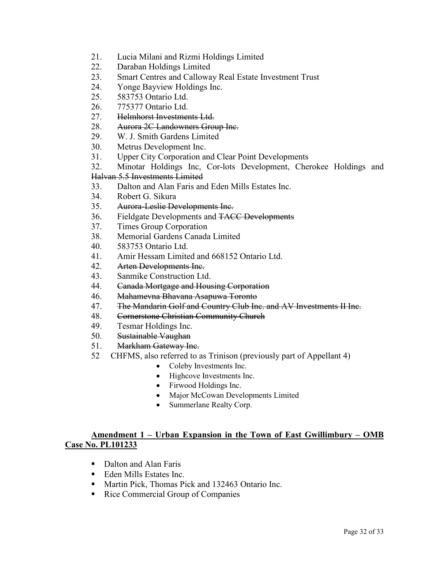- 21. Lucia Milani and Rizmi Holdings Limited
- 22. Daraban Holdings Limited
- 23. Smart Centres and Calloway Real Estate Investment Trust
- 24. Yonge Bayview Holdings Inc.
- 25. 583753 Ontario Ltd.
- 26. 775377 Ontario Ltd.
- 27. Helmhorst Investments Ltd.
- 28. Aurora 2C Landowners Group Inc.
- 29. W. J. Smith Gardens Limited
- 30. Metrus Development Inc.
- 31. Upper City Corporation and Clear Point Developments
- 32. Minotar Holdings Inc, Cor-lots Development, Cherokee Holdings and Halvan 5.5 Investments Limited
- 33. Dalton and Alan Faris and Eden Mills Estates Inc.
- 34. Robert G. Sikura
- 35. Aurora-Leslie Developments Inc.
- 36. Fieldgate Developments and TACC Developments
- 37. Times Group Corporation
- 38. Memorial Gardens Canada Limited
- 40. 583753 Ontario Ltd.
- 41. Amir Hessam Limited and 668152 Ontario Ltd.
- 42. Arten Developments Inc.
- 43. Sanmike Construction Ltd.
- 44. Canada Mortgage and Housing Corporation
- 46. Mahamevna Bhavana Asapuwa Toronto
- 47. The Mandarin Golf and Country Club Inc. and AV Investments II Inc.
- 48. Cornerstone Christian Community Church
- 49. Tesmar Holdings Inc.
- 50. Sustainable Vaughan
- 51. Markham Gateway Inc.
- 52 CHFMS, also referred to as Trinison (previously part of Appellant 4)
	- Coleby Investments Inc.
	- Highcove Investments Inc.
	- Firwood Holdings Inc.
	- Major McCowan Developments Limited
	- Summerlane Realty Corp.

## **Amendment 1 – Urban Expansion in the Town of East Gwillimbury – OMB Case No. PL101233**

- Dalton and Alan Faris
- $\blacksquare$  Eden Mills Estates Inc.
- **Martin Pick, Thomas Pick and 132463 Ontario Inc.**
- Rice Commercial Group of Companies